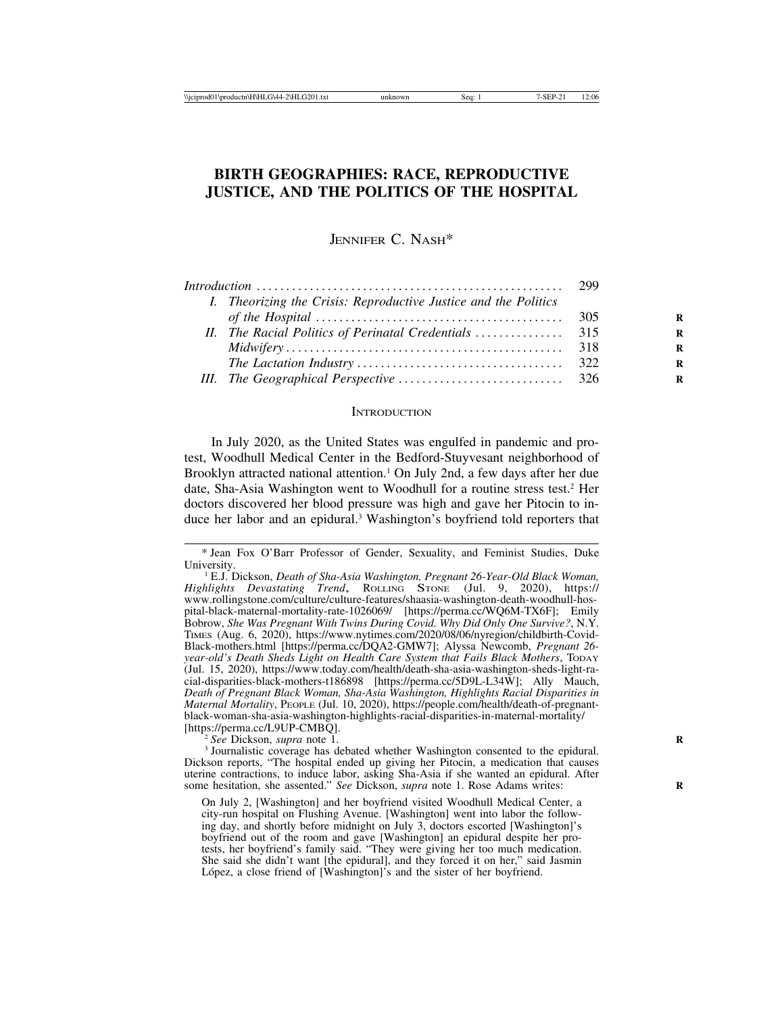# **BIRTH GEOGRAPHIES: RACE, REPRODUCTIVE JUSTICE, AND THE POLITICS OF THE HOSPITAL**

JENNIFER C. NASH\*

| I. Theorizing the Crisis: Reproductive Justice and the Politics |  |
|-----------------------------------------------------------------|--|
|                                                                 |  |
|                                                                 |  |
|                                                                 |  |
|                                                                 |  |
|                                                                 |  |
|                                                                 |  |

### **INTRODUCTION**

In July 2020, as the United States was engulfed in pandemic and protest, Woodhull Medical Center in the Bedford-Stuyvesant neighborhood of Brooklyn attracted national attention.<sup>1</sup> On July 2nd, a few days after her due date, Sha-Asia Washington went to Woodhull for a routine stress test.<sup>2</sup> Her doctors discovered her blood pressure was high and gave her Pitocin to induce her labor and an epidural.3 Washington's boyfriend told reporters that

<sup>2</sup> See Dickson, *supra* note 1.<br><sup>3</sup> Journalistic coverage has debated whether Washington consented to the epidural. Dickson reports, "The hospital ended up giving her Pitocin, a medication that causes uterine contractions, to induce labor, asking Sha-Asia if she wanted an epidural. After some hesitation, she assented." *See* Dickson, *supra* note 1. Rose Adams writes:

<sup>\*</sup> Jean Fox O'Barr Professor of Gender, Sexuality, and Feminist Studies, Duke University. <sup>1</sup> E.J. Dickson, *Death of Sha-Asia Washington, Pregnant 26-Year-Old Black Woman,*

*Highlights Devastating Trend*, ROLLING STONE (Jul. 9, 2020), https:// www.rollingstone.com/culture/culture-features/shaasia-washington-death-woodhull-hospital-black-maternal-mortality-rate-1026069/ [https://perma.cc/WQ6M-TX6F]; Emily Bobrow, *She Was Pregnant With Twins During Covid. Why Did Only One Survive?*, N.Y. TIMES (Aug. 6, 2020), https://www.nytimes.com/2020/08/06/nyregion/childbirth-Covid-Black-mothers.html [https://perma.cc/DQA2-GMW7]; Alyssa Newcomb, *Pregnant 26 year-old's Death Sheds Light on Health Care System that Fails Black Mothers*, TODAY (Jul. 15, 2020), https://www.today.com/health/death-sha-asia-washington-sheds-light-racial-disparities-black-mothers-t186898 [https://perma.cc/5D9L-L34W]; Ally Mauch, *Death of Pregnant Black Woman, Sha-Asia Washington, Highlights Racial Disparities in Maternal Mortality*, PEOPLE (Jul. 10, 2020), https://people.com/health/death-of-pregnantblack-woman-sha-asia-washington-highlights-racial-disparities-in-maternal-mortality/

On July 2, [Washington] and her boyfriend visited Woodhull Medical Center, a city-run hospital on Flushing Avenue. [Washington] went into labor the following day, and shortly before midnight on July 3, doctors escorted [Washington]'s boyfriend out of the room and gave [Washington] an epidural despite her protests, her boyfriend's family said. "They were giving her too much medication. She said she didn't want [the epidural], and they forced it on her," said Jasmin López, a close friend of [Washington]'s and the sister of her boyfriend.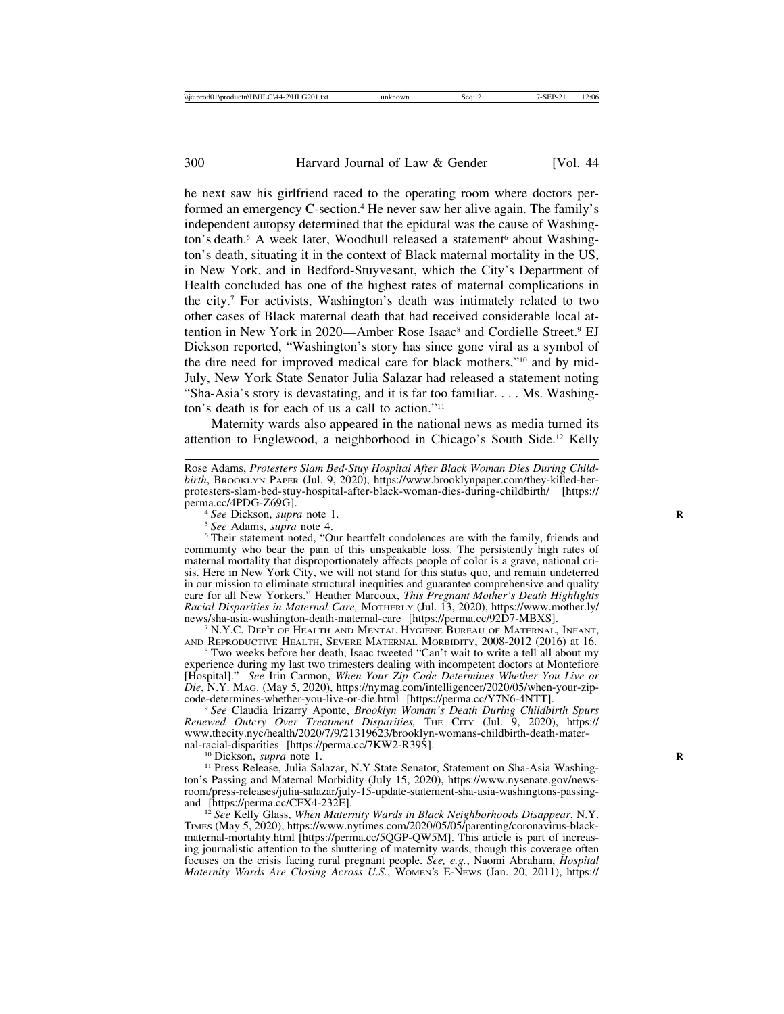he next saw his girlfriend raced to the operating room where doctors performed an emergency C-section.<sup>4</sup> He never saw her alive again. The family's independent autopsy determined that the epidural was the cause of Washington's death.<sup>5</sup> A week later, Woodhull released a statement<sup>6</sup> about Washington's death, situating it in the context of Black maternal mortality in the US, in New York, and in Bedford-Stuyvesant, which the City's Department of Health concluded has one of the highest rates of maternal complications in the city.7 For activists, Washington's death was intimately related to two other cases of Black maternal death that had received considerable local attention in New York in 2020—Amber Rose Isaac<sup>8</sup> and Cordielle Street.<sup>9</sup> EJ Dickson reported, "Washington's story has since gone viral as a symbol of the dire need for improved medical care for black mothers,"10 and by mid-July, New York State Senator Julia Salazar had released a statement noting "Sha-Asia's story is devastating, and it is far too familiar. . . . Ms. Washington's death is for each of us a call to action."11

Maternity wards also appeared in the national news as media turned its attention to Englewood, a neighborhood in Chicago's South Side.12 Kelly

Rose Adams, *Protesters Slam Bed-Stuy Hospital After Black Woman Dies During Childbirth*, BROOKLYN PAPER (Jul. 9, 2020), https://www.brooklynpaper.com/they-killed-herprotesters-slam-bed-stuy-hospital-after-black-woman-dies-during-childbirth/ [https://

<sup>5</sup> See Dickson, *supra* note 1.<br><sup>5</sup> See Adams, *supra* note 4.<br><sup>6</sup> Their statement noted, "Our heartfelt condolences are with the family, friends and community who bear the pain of this unspeakable loss. The persistently high rates of maternal mortality that disproportionately affects people of color is a grave, national crisis. Here in New York City, we will not stand for this status quo, and remain undeterred in our mission to eliminate structural inequities and guarantee comprehensive and quality care for all New Yorkers." Heather Marcoux, *This Pregnant Mother's Death Highlights Racial Disparities in Maternal Care,* MOTHERLY (Jul. 13, 2020), https://www.mother.ly/

 $\frac{7}{2}$  N.Y.C. Dep't of Health and Mental Hygiene Bureau of Maternal, Infant, AND REPRODUCTIVE HEALTH, SEVERE MATERNAL MORBIDITY, 2008-2012 (2016) at 16. <sup>8</sup> Two weeks before her death, Isaac tweeted "Can't wait to write a tell all about my

experience during my last two trimesters dealing with incompetent doctors at Montefiore [Hospital]." *See* Irin Carmon, *When Your Zip Code Determines Whether You Live or Die*, N.Y. MAG. (May 5, 2020), https://nymag.com/intelligencer/2020/05/when-your-zip-code-determines-whether-you-live-or-die.html [https://perma.cc/Y7N6-4NTT].

<sup>9</sup> See Claudia Irizarry Aponte, *Brooklyn Woman's Death During Childbirth Spurs Renewed Outcry Over Treatment Disparities,* THE CITY (Jul. 9, 2020), https:// www.thecity.nyc/health/2020/7/9/21319623/brooklyn-womans-childbirth-death-maternal-racial-disparities [https://perma.cc/7KW2-R39S].

<sup>10</sup> Dickson, *supra* note 1.<br><sup>11</sup> Press Release, Julia Salazar, N.Y State Senator, Statement on Sha-Asia Washington's Passing and Maternal Morbidity (July 15, 2020), https://www.nysenate.gov/newsroom/press-releases/julia-salazar/july-15-update-statement-sha-asia-washingtons-passing-

<sup>12</sup> See Kelly Glass, *When Maternity Wards in Black Neighborhoods Disappear*, N.Y. TIMES (May 5, 2020), https://www.nytimes.com/2020/05/05/parenting/coronavirus-blackmaternal-mortality.html [https://perma.cc/5QGP-QW5M]. This article is part of increasing journalistic attention to the shuttering of maternity wards, though this coverage often focuses on the crisis facing rural pregnant people. *See, e.g.*, Naomi Abraham, *Hospital Maternity Wards Are Closing Across U.S.*, WOMEN'S E-NEWS (Jan. 20, 2011), https://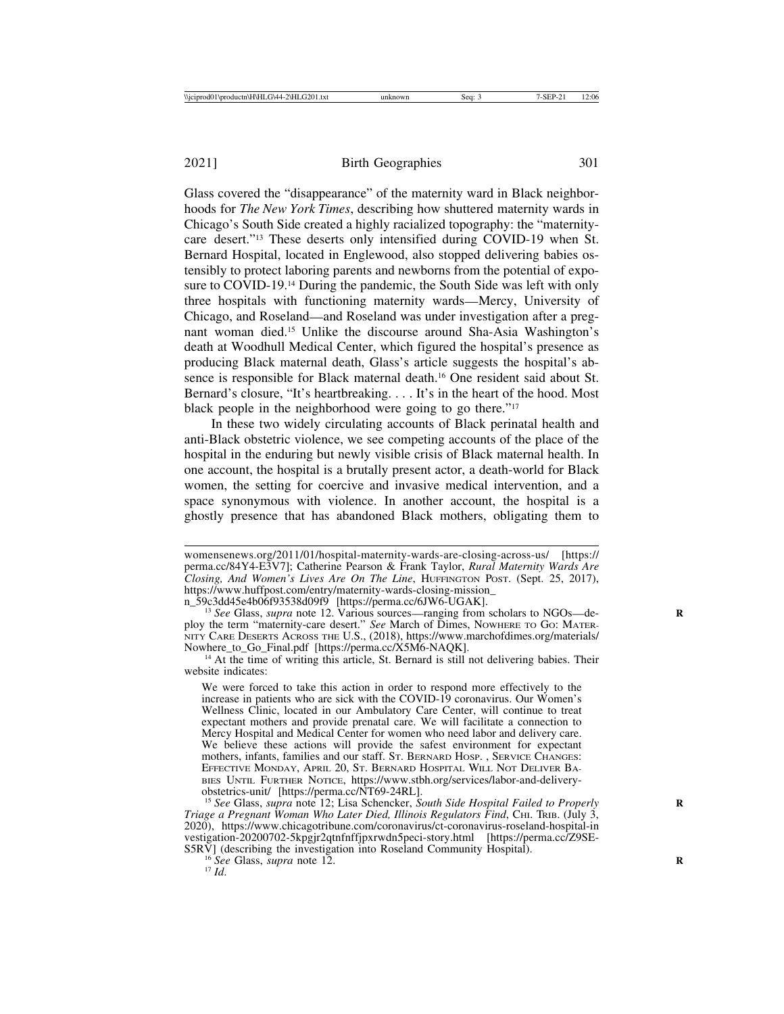Glass covered the "disappearance" of the maternity ward in Black neighborhoods for *The New York Times*, describing how shuttered maternity wards in Chicago's South Side created a highly racialized topography: the "maternitycare desert."13 These deserts only intensified during COVID-19 when St. Bernard Hospital, located in Englewood, also stopped delivering babies ostensibly to protect laboring parents and newborns from the potential of exposure to COVID-19.14 During the pandemic, the South Side was left with only three hospitals with functioning maternity wards—Mercy, University of Chicago, and Roseland—and Roseland was under investigation after a pregnant woman died.15 Unlike the discourse around Sha-Asia Washington's death at Woodhull Medical Center, which figured the hospital's presence as producing Black maternal death, Glass's article suggests the hospital's absence is responsible for Black maternal death.16 One resident said about St. Bernard's closure, "It's heartbreaking. . . . It's in the heart of the hood. Most black people in the neighborhood were going to go there."17

In these two widely circulating accounts of Black perinatal health and anti-Black obstetric violence, we see competing accounts of the place of the hospital in the enduring but newly visible crisis of Black maternal health. In one account, the hospital is a brutally present actor, a death-world for Black women, the setting for coercive and invasive medical intervention, and a space synonymous with violence. In another account, the hospital is a ghostly presence that has abandoned Black mothers, obligating them to

womensenews.org/2011/01/hospital-maternity-wards-are-closing-across-us/ [https:// perma.cc/84Y4-E3V7]; Catherine Pearson & Frank Taylor, *Rural Maternity Wards Are Closing, And Women's Lives Are On The Line*, HUFFINGTON POST. (Sept. 25, 2017), https://www.huffpost.com/entry/maternity-wards-closing-mission\_<br>n 59c3dd45e4b06f93538d09f9 [https://perma.cc/6JW6-UGAK].

<sup>&</sup>lt;sup>13</sup> See Glass, *supra* note 12. Various sources—ranging from scholars to NGOs—deploy the term "maternity-care desert." *See* March of Dimes, NOWHERE TO GO: MATER-NITY CARE DESERTS ACROSS THE U.S., (2018), https://www.marchofdimes.org/materials/ Nowhere\_to\_Go\_Final.pdf [https://perma.cc/X5M6-NAQK].<br><sup>14</sup> At the time of writing this article, St. Bernard is still not delivering babies. Their

website indicates:

We were forced to take this action in order to respond more effectively to the increase in patients who are sick with the COVID-19 coronavirus. Our Women's Wellness Clinic, located in our Ambulatory Care Center, will continue to treat expectant mothers and provide prenatal care. We will facilitate a connection to Mercy Hospital and Medical Center for women who need labor and delivery care. We believe these actions will provide the safest environment for expectant mothers, infants, families and our staff. St. BERNARD HOSP., SERVICE CHANGES: EFFECTIVE MONDAY, APRIL 20, ST. BERNARD HOSPITAL WILL NOT DELIVER BA-BIES UNTIL FURTHER NOTICE, https://www.stbh.org/services/labor-and-deliveryobstetrics-unit/ [https://perma.cc/NT69-24RL].

<sup>&</sup>lt;sup>15</sup> *See* Glass, *supra* note 12; Lisa Schencker, *South Side Hospital Failed to Properly Triage a Pregnant Woman Who Later Died, Illinois Regulators Find*, CHI. TRIB. (July 3, 2020), https://www.chicagotribune.com/coronavirus/ct-coronavirus-roseland-hospital-in vestigation-20200702-5kpgjr2qtnfnffjpxrwdn5peci-story.html [https://perma.cc/Z9SE-S5RV] (describing the investigation into Roseland Community Hospital). <sup>16</sup> *See* Glass, *supra* note 12. **R** 17 *Id*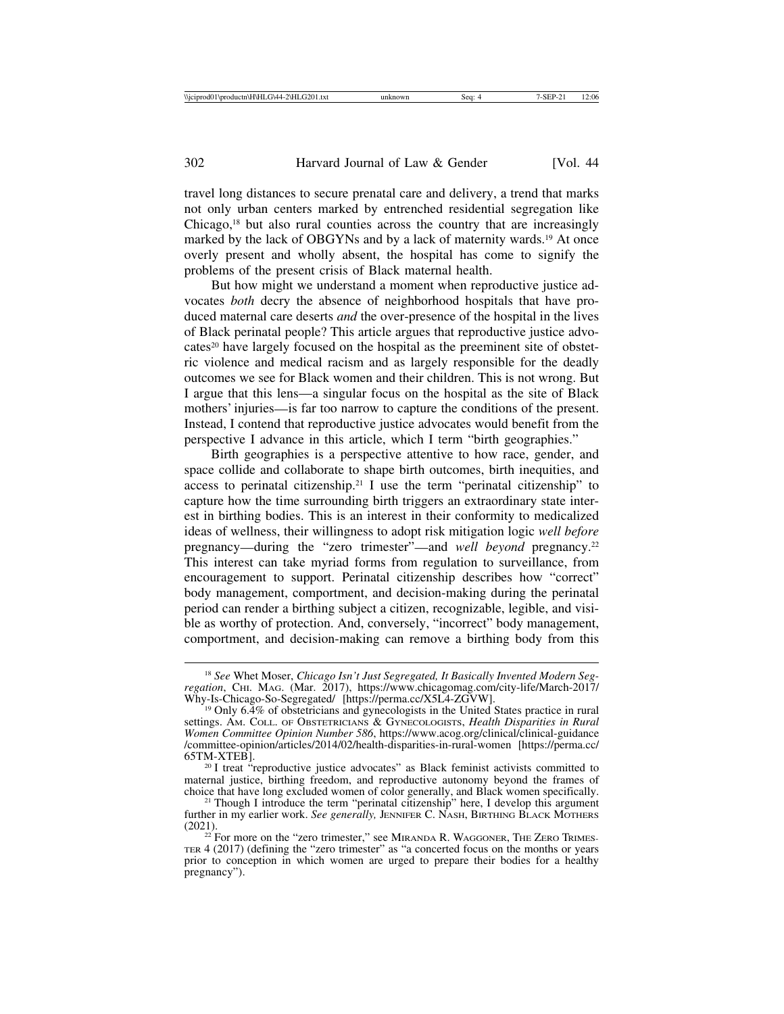travel long distances to secure prenatal care and delivery, a trend that marks not only urban centers marked by entrenched residential segregation like Chicago,18 but also rural counties across the country that are increasingly marked by the lack of OBGYNs and by a lack of maternity wards.19 At once overly present and wholly absent, the hospital has come to signify the problems of the present crisis of Black maternal health.

But how might we understand a moment when reproductive justice advocates *both* decry the absence of neighborhood hospitals that have produced maternal care deserts *and* the over-presence of the hospital in the lives of Black perinatal people? This article argues that reproductive justice advocates<sup>20</sup> have largely focused on the hospital as the preeminent site of obstetric violence and medical racism and as largely responsible for the deadly outcomes we see for Black women and their children. This is not wrong. But I argue that this lens—a singular focus on the hospital as the site of Black mothers' injuries—is far too narrow to capture the conditions of the present. Instead, I contend that reproductive justice advocates would benefit from the perspective I advance in this article, which I term "birth geographies."

Birth geographies is a perspective attentive to how race, gender, and space collide and collaborate to shape birth outcomes, birth inequities, and access to perinatal citizenship.<sup>21</sup> I use the term "perinatal citizenship" to capture how the time surrounding birth triggers an extraordinary state interest in birthing bodies. This is an interest in their conformity to medicalized ideas of wellness, their willingness to adopt risk mitigation logic *well before* pregnancy—during the "zero trimester"—and *well beyond* pregnancy.22 This interest can take myriad forms from regulation to surveillance, from encouragement to support. Perinatal citizenship describes how "correct" body management, comportment, and decision-making during the perinatal period can render a birthing subject a citizen, recognizable, legible, and visible as worthy of protection. And, conversely, "incorrect" body management, comportment, and decision-making can remove a birthing body from this

<sup>18</sup> *See* Whet Moser, *Chicago Isn't Just Segregated, It Basically Invented Modern Segregation*, CHI. MAG. (Mar. 2017), https://www.chicagomag.com/city-life/March-2017/<br>Why-Is-Chicago-So-Segregated/ [https://perma.cc/X5L4-ZGVW].

 $^{19}$  Only 6.4% of obstetricians and gynecologists in the United States practice in rural settings. AM. COLL. OF OBSTETRICIANS & GYNECOLOGISTS, *Health Disparities in Rural Women Committee Opinion Number 586*, https://www.acog.org/clinical/clinical-guidance /committee-opinion/articles/2014/02/health-disparities-in-rural-women [https://perma.cc/

 $^{20}$  I treat "reproductive justice advocates" as Black feminist activists committed to maternal justice, birthing freedom, and reproductive autonomy beyond the frames of choice that have long excluded women of color generally, and Black women specifically.

<sup>&</sup>lt;sup>21</sup> Though I introduce the term "perinatal citizenship" here, I develop this argument further in my earlier work. *See generally*, JENNIFER C. NASH, BIRTHING BLACK MOTHERS (2021).

 $22$  For more on the "zero trimester," see MIRANDA R. WAGGONER, THE ZERO TRIMES-TER 4 (2017) (defining the "zero trimester" as "a concerted focus on the months or years prior to conception in which women are urged to prepare their bodies for a healthy pregnancy").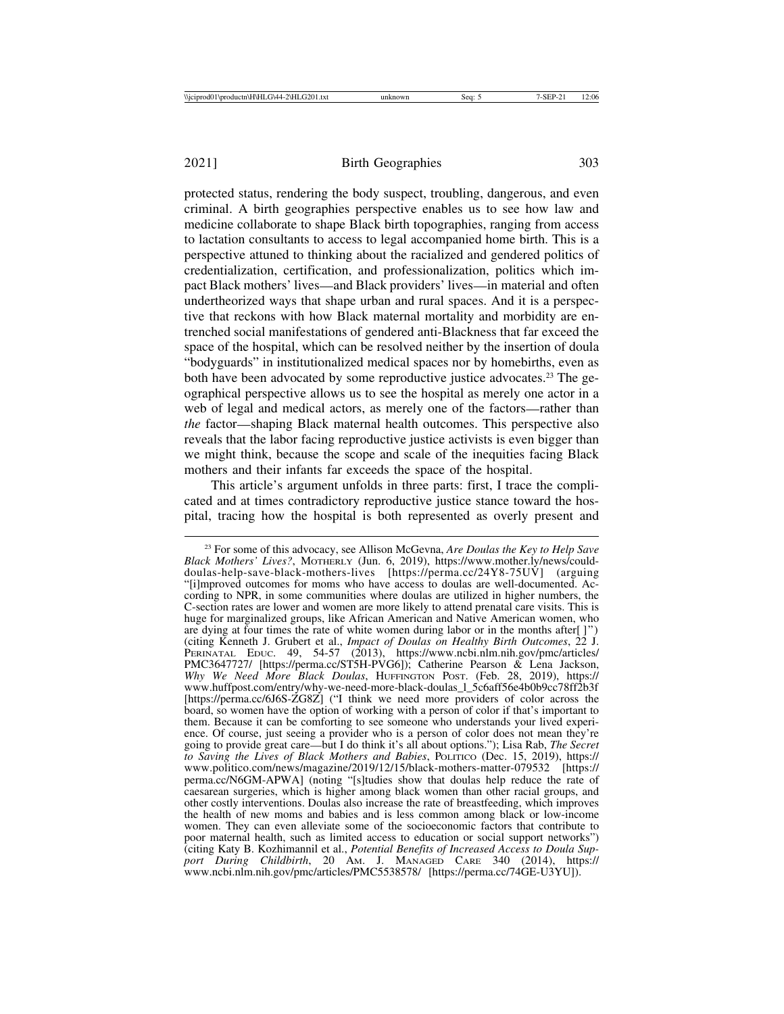protected status, rendering the body suspect, troubling, dangerous, and even criminal. A birth geographies perspective enables us to see how law and medicine collaborate to shape Black birth topographies, ranging from access to lactation consultants to access to legal accompanied home birth. This is a perspective attuned to thinking about the racialized and gendered politics of credentialization, certification, and professionalization, politics which impact Black mothers' lives—and Black providers' lives—in material and often undertheorized ways that shape urban and rural spaces. And it is a perspective that reckons with how Black maternal mortality and morbidity are entrenched social manifestations of gendered anti-Blackness that far exceed the space of the hospital, which can be resolved neither by the insertion of doula "bodyguards" in institutionalized medical spaces nor by homebirths, even as both have been advocated by some reproductive justice advocates.<sup>23</sup> The geographical perspective allows us to see the hospital as merely one actor in a web of legal and medical actors, as merely one of the factors—rather than *the* factor—shaping Black maternal health outcomes. This perspective also reveals that the labor facing reproductive justice activists is even bigger than we might think, because the scope and scale of the inequities facing Black mothers and their infants far exceeds the space of the hospital.

This article's argument unfolds in three parts: first, I trace the complicated and at times contradictory reproductive justice stance toward the hospital, tracing how the hospital is both represented as overly present and

<sup>23</sup> For some of this advocacy, see Allison McGevna, *Are Doulas the Key to Help Save Black Mothers' Lives?*, MOTHERLY (Jun. 6, 2019), https://www.mother.ly/news/coulddoulas-help-save-black-mothers-lives [https://perma.cc/24Y8-75UV] (arguing "[i]mproved outcomes for moms who have access to doulas are well-documented. According to NPR, in some communities where doulas are utilized in higher numbers, the C-section rates are lower and women are more likely to attend prenatal care visits. This is huge for marginalized groups, like African American and Native American women, who are dying at four times the rate of white women during labor or in the months after[ ]") (citing Kenneth J. Grubert et al., *Impact of Doulas on Healthy Birth Outcomes*, 22 J. PERINATAL EDUC. 49, 54-57 (2013), https://www.ncbi.nlm.nih.gov/pmc/articles/ PMC3647727/ [https://perma.cc/ST5H-PVG6]); Catherine Pearson & Lena Jackson, *Why We Need More Black Doulas*, HUFFINGTON POST. (Feb. 28, 2019), https:// www.huffpost.com/entry/why-we-need-more-black-doulas\_l\_5c6aff56e4b0b9cc78ff2b3f [https://perma.cc/6J6S-ZG8Z] ("I think we need more providers of color across the board, so women have the option of working with a person of color if that's important to them. Because it can be comforting to see someone who understands your lived experience. Of course, just seeing a provider who is a person of color does not mean they're going to provide great care—but I do think it's all about options."); Lisa Rab, *The Secret to Saving the Lives of Black Mothers and Babies*, POLITICO (Dec. 15, 2019), https:// www.politico.com/news/magazine/2019/12/15/black-mothers-matter-079532 [https:// perma.cc/N6GM-APWA] (noting "[s]tudies show that doulas help reduce the rate of caesarean surgeries, which is higher among black women than other racial groups, and other costly interventions. Doulas also increase the rate of breastfeeding, which improves the health of new moms and babies and is less common among black or low-income women. They can even alleviate some of the socioeconomic factors that contribute to poor maternal health, such as limited access to education or social support networks") (citing Katy B. Kozhimannil et al., *Potential Benefits of Increased Access to Doula Support During Childbirth*, 20 AM. J. MANAGED CARE 340 (2014), https:// www.ncbi.nlm.nih.gov/pmc/articles/PMC5538578/ [https://perma.cc/74GE-U3YU]).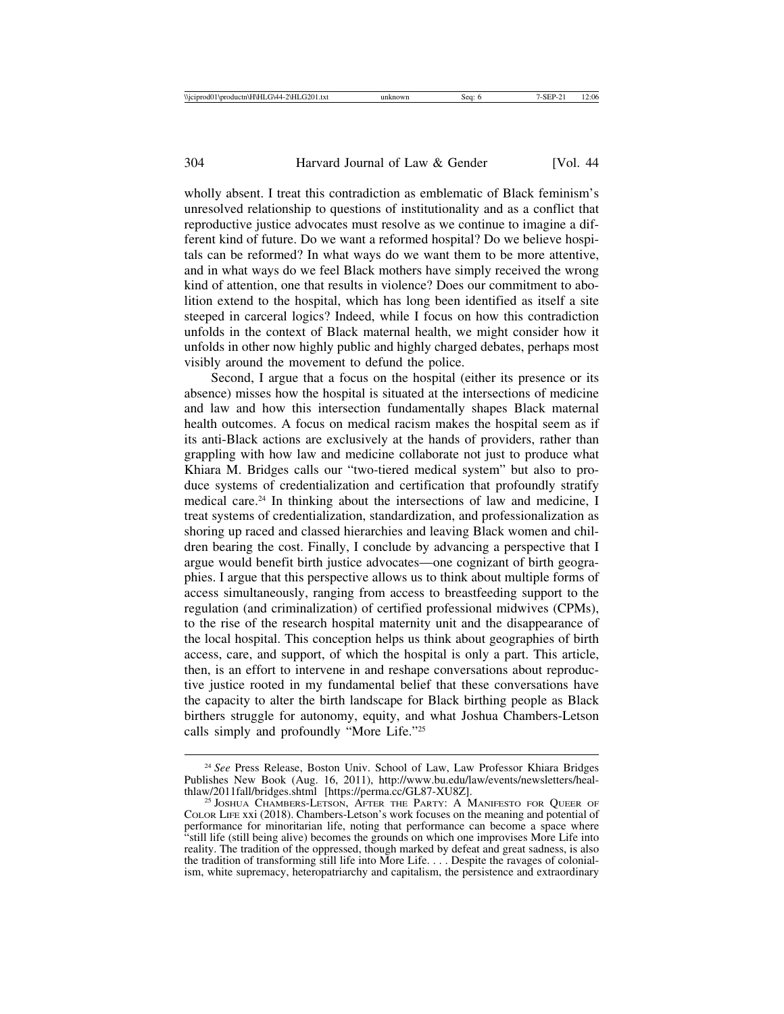wholly absent. I treat this contradiction as emblematic of Black feminism's unresolved relationship to questions of institutionality and as a conflict that reproductive justice advocates must resolve as we continue to imagine a different kind of future. Do we want a reformed hospital? Do we believe hospitals can be reformed? In what ways do we want them to be more attentive, and in what ways do we feel Black mothers have simply received the wrong kind of attention, one that results in violence? Does our commitment to abolition extend to the hospital, which has long been identified as itself a site steeped in carceral logics? Indeed, while I focus on how this contradiction unfolds in the context of Black maternal health, we might consider how it unfolds in other now highly public and highly charged debates, perhaps most visibly around the movement to defund the police.

Second, I argue that a focus on the hospital (either its presence or its absence) misses how the hospital is situated at the intersections of medicine and law and how this intersection fundamentally shapes Black maternal health outcomes. A focus on medical racism makes the hospital seem as if its anti-Black actions are exclusively at the hands of providers, rather than grappling with how law and medicine collaborate not just to produce what Khiara M. Bridges calls our "two-tiered medical system" but also to produce systems of credentialization and certification that profoundly stratify medical care.24 In thinking about the intersections of law and medicine, I treat systems of credentialization, standardization, and professionalization as shoring up raced and classed hierarchies and leaving Black women and children bearing the cost. Finally, I conclude by advancing a perspective that I argue would benefit birth justice advocates—one cognizant of birth geographies. I argue that this perspective allows us to think about multiple forms of access simultaneously, ranging from access to breastfeeding support to the regulation (and criminalization) of certified professional midwives (CPMs), to the rise of the research hospital maternity unit and the disappearance of the local hospital. This conception helps us think about geographies of birth access, care, and support, of which the hospital is only a part. This article, then, is an effort to intervene in and reshape conversations about reproductive justice rooted in my fundamental belief that these conversations have the capacity to alter the birth landscape for Black birthing people as Black birthers struggle for autonomy, equity, and what Joshua Chambers-Letson calls simply and profoundly "More Life."25

<sup>24</sup> *See* Press Release, Boston Univ. School of Law, Law Professor Khiara Bridges Publishes New Book (Aug. 16, 2011), http://www.bu.edu/law/events/newsletters/heal-<br>thlaw/2011fall/bridges.shtml [https://perma.cc/GL87-XU8Z].

<sup>&</sup>lt;sup>25</sup> JOSHUA CHAMBERS-LETSON, AFTER THE PARTY: A MANIFESTO FOR QUEER OF COLOR LIFE xxi (2018). Chambers-Letson's work focuses on the meaning and potential of performance for minoritarian life, noting that performance can become a space where "still life (still being alive) becomes the grounds on which one improvises More Life into reality. The tradition of the oppressed, though marked by defeat and great sadness, is also the tradition of transforming still life into More Life. . . . Despite the ravages of colonialism, white supremacy, heteropatriarchy and capitalism, the persistence and extraordinary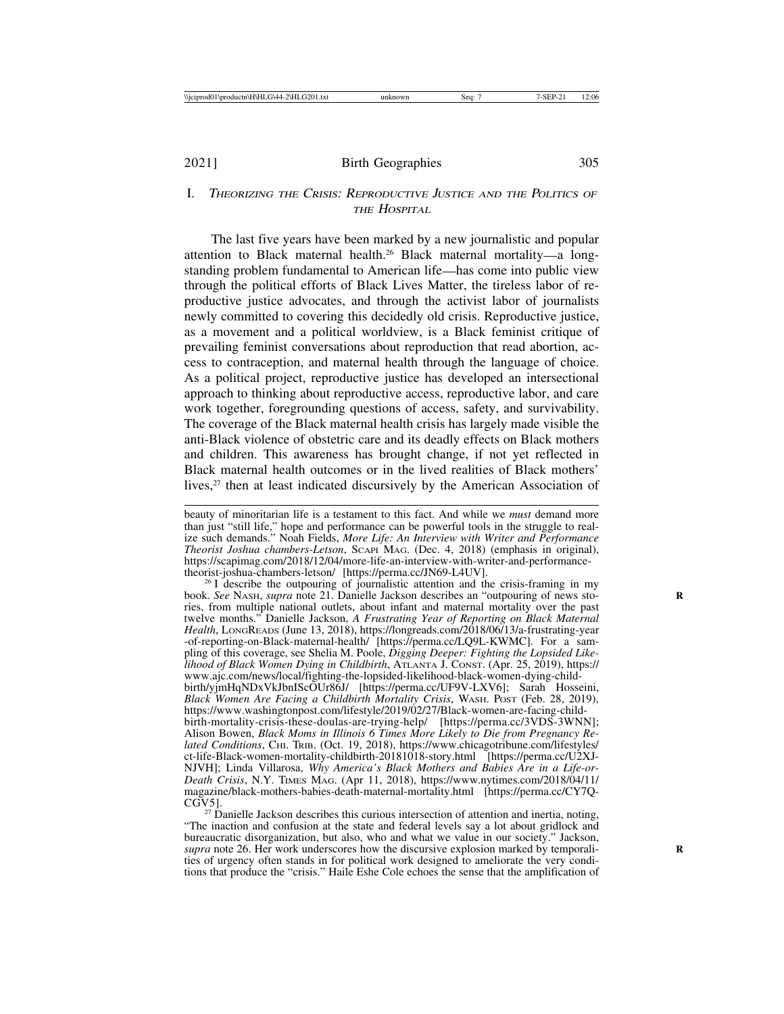## I. <sup>T</sup>HEORIZING THE CRISIS: REPRODUCTIVE JUSTICE AND THE POLITICS OF THE HOSPITAL

The last five years have been marked by a new journalistic and popular attention to Black maternal health.26 Black maternal mortality—a longstanding problem fundamental to American life—has come into public view through the political efforts of Black Lives Matter, the tireless labor of reproductive justice advocates, and through the activist labor of journalists newly committed to covering this decidedly old crisis. Reproductive justice, as a movement and a political worldview, is a Black feminist critique of prevailing feminist conversations about reproduction that read abortion, access to contraception, and maternal health through the language of choice. As a political project, reproductive justice has developed an intersectional approach to thinking about reproductive access, reproductive labor, and care work together, foregrounding questions of access, safety, and survivability. The coverage of the Black maternal health crisis has largely made visible the anti-Black violence of obstetric care and its deadly effects on Black mothers and children. This awareness has brought change, if not yet reflected in Black maternal health outcomes or in the lived realities of Black mothers' lives,<sup>27</sup> then at least indicated discursively by the American Association of

 $27$  Danielle Jackson describes this curious intersection of attention and inertia, noting, "The inaction and confusion at the state and federal levels say a lot about gridlock and bureaucratic disorganization, but also, who and what we value in our society." Jackson, *supra* note 26. Her work underscores how the discursive explosion marked by temporalities of urgency often stands in for political work designed to ameliorate the very conditions that produce the "crisis." Haile Eshe Cole echoes the sense that the amplification of

beauty of minoritarian life is a testament to this fact. And while we *must* demand more than just "still life," hope and performance can be powerful tools in the struggle to realize such demands." Noah Fields, *More Life: An Interview with Writer and Performance Theorist Joshua chambers-Letson*, SCAPI MAG. (Dec. 4, 2018) (emphasis in original), https://scapimag.com/2018/12/04/more-life-an-interview-with-writer-and-performance-<br>theorist-joshua-chambers-letson/ [https://perma.cc/JN69-L4UV].

 $26$  I describe the outpouring of journalistic attention and the crisis-framing in my book. *See* NASH, *supra* note 21. Danielle Jackson describes an "outpouring of news sto- **R** ries, from multiple national outlets, about infant and maternal mortality over the past twelve months." Danielle Jackson, *A Frustrating Year of Reporting on Black Maternal Health*, LONGREADS (June 13, 2018), https://longreads.com/2018/06/13/a-frustrating-year -of-reporting-on-Black-maternal-health/ [https://perma.cc/LQ9L-KWMC]. For a sampling of this coverage, see Shelia M. Poole, *Digging Deeper: Fighting the Lopsided Likelihood of Black Women Dying in Childbirth*, ATLANTA J. CONST. (Apr. 25, 2019), https:// www.ajc.com/news/local/fighting-the-lopsided-likelihood-black-women-dying-childbirth/yjmHqNDxVkJbnIScOUr86J/ [https://perma.cc/UF9V-LXV6]; Sarah Hosseini, *Black Women Are Facing a Childbirth Mortality Crisis*, WASH. POST (Feb. 28, 2019), https://www.washingtonpost.com/lifestyle/2019/02/27/Black-women-are-facing-childbirth-mortality-crisis-these-doulas-are-trying-help/ [https://perma.cc/3VDS-3WNN]; Alison Bowen, *Black Moms in Illinois 6 Times More Likely to Die from Pregnancy Related Conditions*, CHI. TRIB. (Oct. 19, 2018), https://www.chicagotribune.com/lifestyles/ ct-life-Black-women-mortality-childbirth-20181018-story.html [https://perma.cc/U2XJ-NJVH]; Linda Villarosa, *Why America's Black Mothers and Babies Are in a Life-or-Death Crisis*, N.Y. TIMES MAG. (Apr 11, 2018), https://www.nytimes.com/2018/04/11/ magazine/black-mothers-babies-death-maternal-mortality.html [https://perma.cc/CY7Q-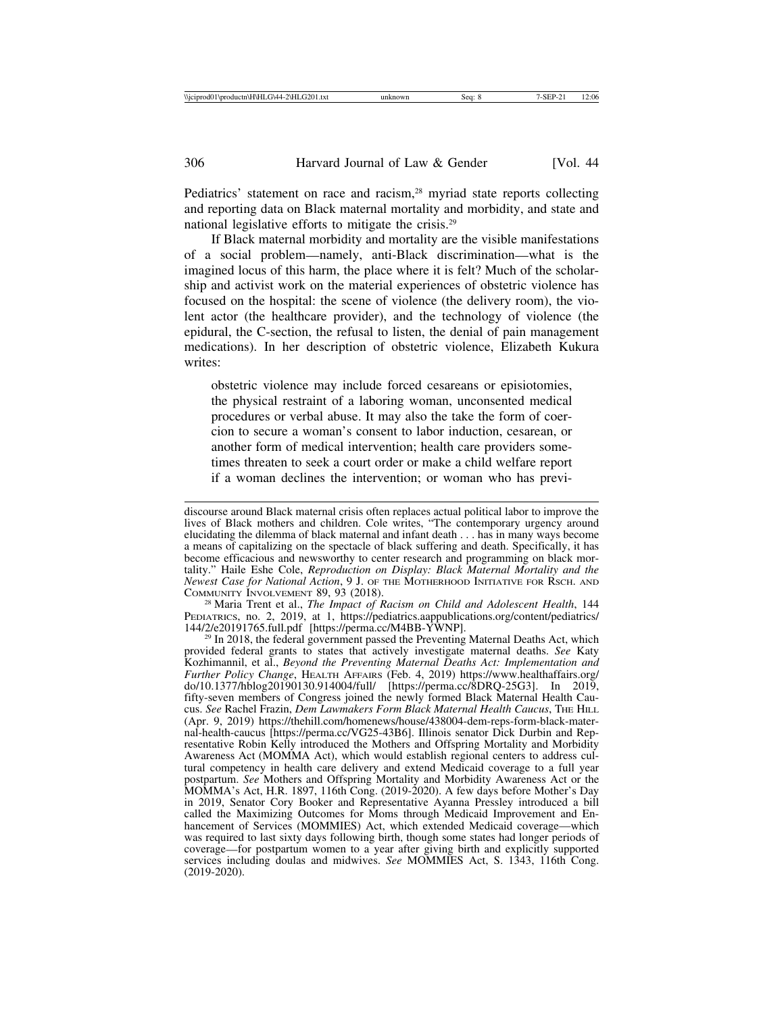Pediatrics' statement on race and racism,<sup>28</sup> myriad state reports collecting and reporting data on Black maternal mortality and morbidity, and state and national legislative efforts to mitigate the crisis.29

If Black maternal morbidity and mortality are the visible manifestations of a social problem—namely, anti-Black discrimination—what is the imagined locus of this harm, the place where it is felt? Much of the scholarship and activist work on the material experiences of obstetric violence has focused on the hospital: the scene of violence (the delivery room), the violent actor (the healthcare provider), and the technology of violence (the epidural, the C-section, the refusal to listen, the denial of pain management medications). In her description of obstetric violence, Elizabeth Kukura writes:

obstetric violence may include forced cesareans or episiotomies, the physical restraint of a laboring woman, unconsented medical procedures or verbal abuse. It may also the take the form of coercion to secure a woman's consent to labor induction, cesarean, or another form of medical intervention; health care providers sometimes threaten to seek a court order or make a child welfare report if a woman declines the intervention; or woman who has previ-

<sup>28</sup> Maria Trent et al., *The Impact of Racism on Child and Adolescent Health*, 144 PEDIATRICS, no. 2, 2019, at 1, https://pediatrics.aappublications.org/content/pediatrics/<br>144/2/e20191765.full.pdf [https://perma.cc/M4BB-YWNP].

 $29$  In 2018, the federal government passed the Preventing Maternal Deaths Act, which provided federal grants to states that actively investigate maternal deaths. *See* Katy Kozhimannil, et al., *Beyond the Preventing Maternal Deaths Act: Implementation and Further Policy Change*, HEALTH AFFAIRS (Feb. 4, 2019) https://www.healthaffairs.org/ do/10.1377/hblog20190130.914004/full/ [https://perma.cc/8DRQ-25G3]. In 2019, fifty-seven members of Congress joined the newly formed Black Maternal Health Caucus. *See* Rachel Frazin, *Dem Lawmakers Form Black Maternal Health Caucus*, THE HILL (Apr. 9, 2019) https://thehill.com/homenews/house/438004-dem-reps-form-black-maternal-health-caucus [https://perma.cc/VG25-43B6]. Illinois senator Dick Durbin and Representative Robin Kelly introduced the Mothers and Offspring Mortality and Morbidity Awareness Act (MOMMA Act), which would establish regional centers to address cultural competency in health care delivery and extend Medicaid coverage to a full year postpartum. *See* Mothers and Offspring Mortality and Morbidity Awareness Act or the MOMMA's Act, H.R. 1897, 116th Cong. (2019-2020). A few days before Mother's Day in 2019, Senator Cory Booker and Representative Ayanna Pressley introduced a bill called the Maximizing Outcomes for Moms through Medicaid Improvement and Enhancement of Services (MOMMIES) Act, which extended Medicaid coverage—which was required to last sixty days following birth, though some states had longer periods of coverage—for postpartum women to a year after giving birth and explicitly supported services including doulas and midwives. *See* MOMMIES Act, S. 1343, 116th Cong. (2019-2020).

discourse around Black maternal crisis often replaces actual political labor to improve the lives of Black mothers and children. Cole writes, "The contemporary urgency around elucidating the dilemma of black maternal and infant death . . . has in many ways become a means of capitalizing on the spectacle of black suffering and death. Specifically, it has become efficacious and newsworthy to center research and programming on black mortality." Haile Eshe Cole, *Reproduction on Display: Black Maternal Mortality and the Newest Case for National Action*, 9 J. OF THE MOTHERHOOD INITIATIVE FOR RSCH. AND COMMUNITY INVOLVEMENT 89, 93 (2018).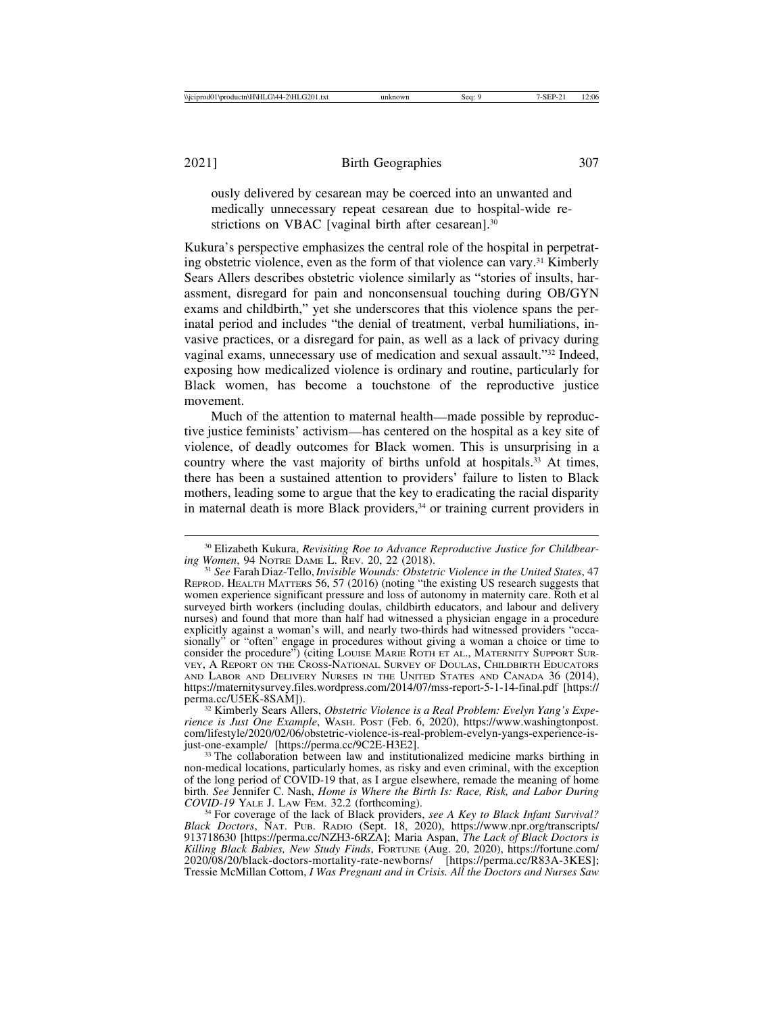ously delivered by cesarean may be coerced into an unwanted and medically unnecessary repeat cesarean due to hospital-wide restrictions on VBAC [vaginal birth after cesarean].<sup>30</sup>

Kukura's perspective emphasizes the central role of the hospital in perpetrating obstetric violence, even as the form of that violence can vary.<sup>31</sup> Kimberly Sears Allers describes obstetric violence similarly as "stories of insults, harassment, disregard for pain and nonconsensual touching during OB/GYN exams and childbirth," yet she underscores that this violence spans the perinatal period and includes "the denial of treatment, verbal humiliations, invasive practices, or a disregard for pain, as well as a lack of privacy during vaginal exams, unnecessary use of medication and sexual assault."32 Indeed, exposing how medicalized violence is ordinary and routine, particularly for Black women, has become a touchstone of the reproductive justice movement.

Much of the attention to maternal health—made possible by reproductive justice feminists' activism—has centered on the hospital as a key site of violence, of deadly outcomes for Black women. This is unsurprising in a country where the vast majority of births unfold at hospitals.<sup>33</sup> At times, there has been a sustained attention to providers' failure to listen to Black mothers, leading some to argue that the key to eradicating the racial disparity in maternal death is more Black providers, $34$  or training current providers in

<sup>32</sup> Kimberly Sears Allers, *Obstetric Violence is a Real Problem: Evelyn Yang's Experience is Just One Example*, WASH. POST (Feb. 6, 2020), https://www.washingtonpost. com/lifestyle/2020/02/06/obstetric-violence-is-real-problem-evelyn-yangs-experience-is-

 $33$  The collaboration between law and institutionalized medicine marks birthing in non-medical locations, particularly homes, as risky and even criminal, with the exception of the long period of COVID-19 that, as I argue elsewhere, remade the meaning of home birth. *See* Jennifer C. Nash, *Home is Where the Birth Is: Race, Risk, and Labor During*

<sup>&</sup>lt;sup>30</sup> Elizabeth Kukura, *Revisiting Roe to Advance Reproductive Justice for Childbear-*<br>*ing Women*, 94 NOTRE DAME L. REV. 20, 22 (2018).

<sup>&</sup>lt;sup>31</sup> See Farah Diaz-Tello, *Invisible Wounds: Obstetric Violence in the United States*, 47 REPROD. HEALTH MATTERS 56, 57 (2016) (noting "the existing US research suggests that women experience significant pressure and loss of autonomy in maternity care. Roth et al surveyed birth workers (including doulas, childbirth educators, and labour and delivery nurses) and found that more than half had witnessed a physician engage in a procedure explicitly against a woman's will, and nearly two-thirds had witnessed providers "occasionally" or "often" engage in procedures without giving a woman a choice or time to consider the procedure") (citing LOUISE MARIE ROTH ET AL., MATERNITY SUPPORT SUR-VEY, A REPORT ON THE CROSS-NATIONAL SURVEY OF DOULAS, CHILDBIRTH EDUCATORS AND LABOR AND DELIVERY NURSES IN THE UNITED STATES AND CANADA 36 (2014), https://maternitysurvey.files.wordpress.com/2014/07/mss-report-5-1-14-final.pdf [https://

<sup>&</sup>lt;sup>34</sup> For coverage of the lack of Black providers, see A Key to Black Infant Survival? *Black Doctors*, NAT. PUB. RADIO (Sept. 18, 2020), https://www.npr.org/transcripts/ 913718630 [https://perma.cc/NZH3-6RZA]; Maria Aspan, *The Lack of Black Doctors is Killing Black Babies, New Study Finds*, FORTUNE (Aug. 20, 2020), https://fortune.com/ 2020/08/20/black-doctors-mortality-rate-newborns/ [https://perma.cc/R83A-3KES]; Tressie McMillan Cottom, *I Was Pregnant and in Crisis. All the Doctors and Nurses Saw*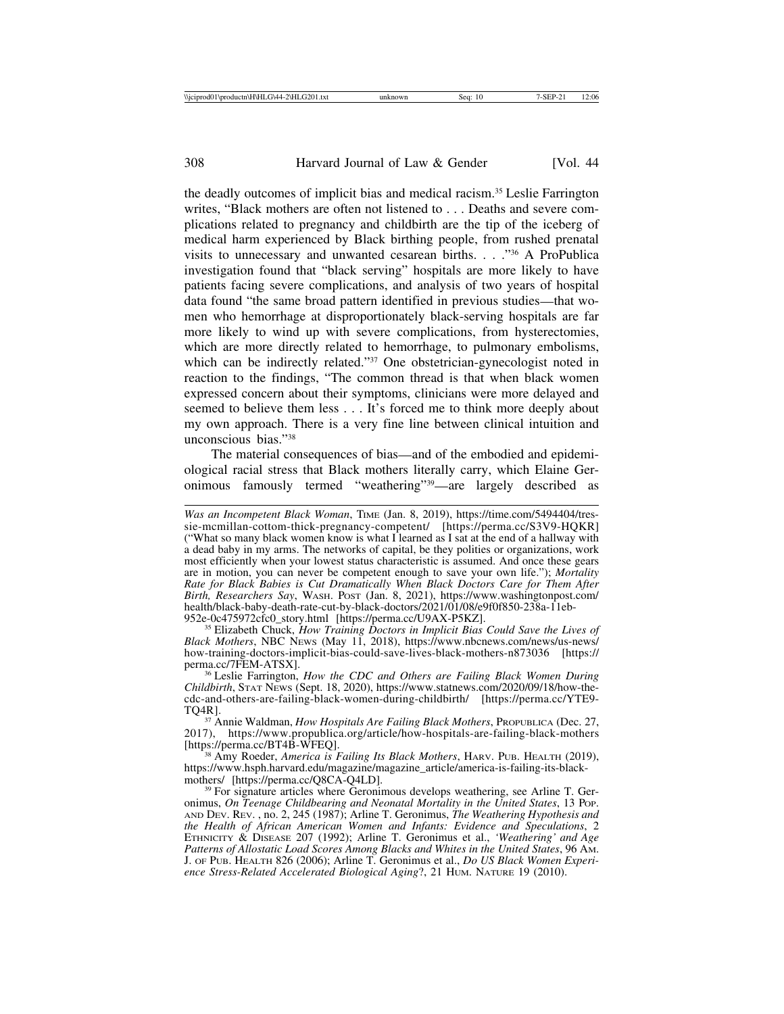the deadly outcomes of implicit bias and medical racism.35 Leslie Farrington writes, "Black mothers are often not listened to . . . Deaths and severe complications related to pregnancy and childbirth are the tip of the iceberg of medical harm experienced by Black birthing people, from rushed prenatal visits to unnecessary and unwanted cesarean births. . . ."36 A ProPublica investigation found that "black serving" hospitals are more likely to have patients facing severe complications, and analysis of two years of hospital data found "the same broad pattern identified in previous studies—that women who hemorrhage at disproportionately black-serving hospitals are far more likely to wind up with severe complications, from hysterectomies, which are more directly related to hemorrhage, to pulmonary embolisms, which can be indirectly related."<sup>37</sup> One obstetrician-gynecologist noted in reaction to the findings, "The common thread is that when black women expressed concern about their symptoms, clinicians were more delayed and seemed to believe them less . . . It's forced me to think more deeply about my own approach. There is a very fine line between clinical intuition and unconscious bias."38

The material consequences of bias—and of the embodied and epidemiological racial stress that Black mothers literally carry, which Elaine Geronimous famously termed "weathering"39—are largely described as

<sup>35</sup> Elizabeth Chuck, *How Training Doctors in Implicit Bias Could Save the Lives of Black Mothers*, NBC NEWS (May 11, 2018), https://www.nbcnews.com/news/us-news/ how-training-doctors-implicit-bias-could-save-lives-black-mothers-n873036 [https://

<sup>36</sup> Leslie Farrington, *How the CDC and Others are Failing Black Women During Childbirth*, STAT NEWS (Sept. 18, 2020), https://www.statnews.com/2020/09/18/how-thecdc-and-others-are-failing-black-women-during-childbirth/ [https://perma.cc/YTE9-

TQ4R].<br><sup>37</sup> Annie Waldman, *How Hospitals Are Failing Black Mothers*, PROPUBLICA (Dec. 27,<br>2017), https://www.propublica.org/article/how-hospitals-are-failing-black-mothers 2017), https://www.propublica.org/article/how-hospitals-are-failing-black-mothers [https://perma.cc/BT4B-WFEQ].

<sup>38</sup> Amy Roeder, *America is Failing Its Black Mothers*, HARV. PUB. HEALTH (2019), https://www.hsph.harvard.edu/magazine/magazine\_article/america-is-failing-its-black-

 $39$  For signature articles where Geronimous develops weathering, see Arline T. Geronimus, *On Teenage Childbearing and Neonatal Mortality in the United States*, 13 POP. AND DEV. REV. , no. 2, 245 (1987); Arline T. Geronimus, *The Weathering Hypothesis and the Health of African American Women and Infants: Evidence and Speculations*, 2 ETHNICITY & DISEASE 207 (1992); Arline T. Geronimus et al., *'Weathering' and Age Patterns of Allostatic Load Scores Among Blacks and Whites in the United States*, 96 AM. J. OF PUB. HEALTH 826 (2006); Arline T. Geronimus et al., *Do US Black Women Experience Stress-Related Accelerated Biological Aging*?, 21 HUM. NATURE 19 (2010).

*Was an Incompetent Black Woman*, TIME (Jan. 8, 2019), https://time.com/5494404/tressie-mcmillan-cottom-thick-pregnancy-competent/ [https://perma.cc/S3V9-HQKR] ("What so many black women know is what I learned as I sat at the end of a hallway with a dead baby in my arms. The networks of capital, be they polities or organizations, work most efficiently when your lowest status characteristic is assumed. And once these gears are in motion, you can never be competent enough to save your own life."); *Mortality Rate for Black Babies is Cut Dramatically When Black Doctors Care for Them After Birth, Researchers Say*, WASH. POST (Jan. 8, 2021), https://www.washingtonpost.com/ health/black-baby-death-rate-cut-by-black-doctors/2021/01/08/e9f0f850-238a-11eb-<br>952e-0c475972cfc0\_story.html [https://perma.cc/U9AX-P5KZ].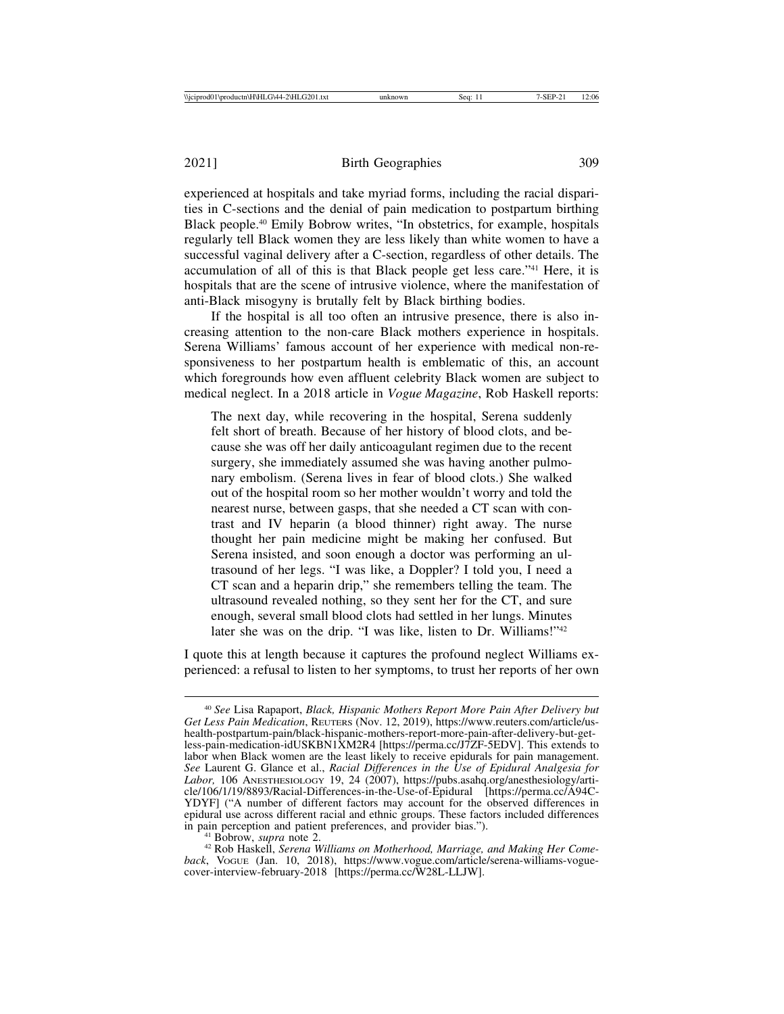experienced at hospitals and take myriad forms, including the racial disparities in C-sections and the denial of pain medication to postpartum birthing Black people.40 Emily Bobrow writes, "In obstetrics, for example, hospitals regularly tell Black women they are less likely than white women to have a successful vaginal delivery after a C-section, regardless of other details. The accumulation of all of this is that Black people get less care."41 Here, it is hospitals that are the scene of intrusive violence, where the manifestation of anti-Black misogyny is brutally felt by Black birthing bodies.

If the hospital is all too often an intrusive presence, there is also increasing attention to the non-care Black mothers experience in hospitals. Serena Williams' famous account of her experience with medical non-responsiveness to her postpartum health is emblematic of this, an account which foregrounds how even affluent celebrity Black women are subject to medical neglect. In a 2018 article in *Vogue Magazine*, Rob Haskell reports:

The next day, while recovering in the hospital, Serena suddenly felt short of breath. Because of her history of blood clots, and because she was off her daily anticoagulant regimen due to the recent surgery, she immediately assumed she was having another pulmonary embolism. (Serena lives in fear of blood clots.) She walked out of the hospital room so her mother wouldn't worry and told the nearest nurse, between gasps, that she needed a CT scan with contrast and IV heparin (a blood thinner) right away. The nurse thought her pain medicine might be making her confused. But Serena insisted, and soon enough a doctor was performing an ultrasound of her legs. "I was like, a Doppler? I told you, I need a CT scan and a heparin drip," she remembers telling the team. The ultrasound revealed nothing, so they sent her for the CT, and sure enough, several small blood clots had settled in her lungs. Minutes later she was on the drip. "I was like, listen to Dr. Williams!"<sup>42</sup>

I quote this at length because it captures the profound neglect Williams experienced: a refusal to listen to her symptoms, to trust her reports of her own

<sup>40</sup> *See* Lisa Rapaport, *Black, Hispanic Mothers Report More Pain After Delivery but Get Less Pain Medication*, REUTERS (Nov. 12, 2019), https://www.reuters.com/article/ushealth-postpartum-pain/black-hispanic-mothers-report-more-pain-after-delivery-but-getless-pain-medication-idUSKBN1XM2R4 [https://perma.cc/J7ZF-5EDV]. This extends to labor when Black women are the least likely to receive epidurals for pain management. *See* Laurent G. Glance et al., *Racial Differences in the Use of Epidural Analgesia for Labor,* 106 ANESTHESIOLOGY 19, 24 (2007), https://pubs.asahq.org/anesthesiology/article/106/1/19/8893/Racial-Differences-in-the-Use-of-Epidural [https://perma.cc/A94C-YDYF] ("A number of different factors may account for the observed differences in epidural use across different racial and ethnic groups. These factors included differences

<sup>&</sup>lt;sup>41</sup> Bobrow, *supra* note 2.<br><sup>42</sup> Rob Haskell, *Serena Williams on Motherhood, Marriage, and Making Her Comeback*, VOGUE (Jan. 10, 2018), https://www.vogue.com/article/serena-williams-voguecover-interview-february-2018 [https://perma.cc/W28L-LLJW].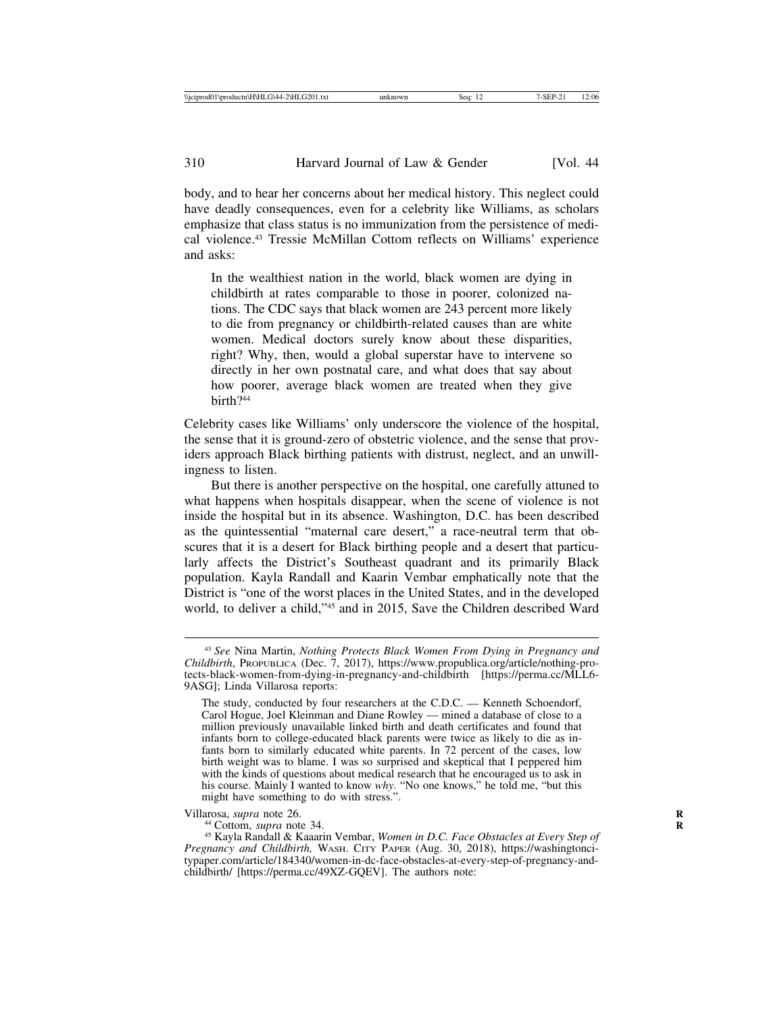body, and to hear her concerns about her medical history. This neglect could have deadly consequences, even for a celebrity like Williams, as scholars emphasize that class status is no immunization from the persistence of medical violence.43 Tressie McMillan Cottom reflects on Williams' experience and asks:

In the wealthiest nation in the world, black women are dying in childbirth at rates comparable to those in poorer, colonized nations. The CDC says that black women are 243 percent more likely to die from pregnancy or childbirth-related causes than are white women. Medical doctors surely know about these disparities, right? Why, then, would a global superstar have to intervene so directly in her own postnatal care, and what does that say about how poorer, average black women are treated when they give birth?44

Celebrity cases like Williams' only underscore the violence of the hospital, the sense that it is ground-zero of obstetric violence, and the sense that providers approach Black birthing patients with distrust, neglect, and an unwillingness to listen.

But there is another perspective on the hospital, one carefully attuned to what happens when hospitals disappear, when the scene of violence is not inside the hospital but in its absence. Washington, D.C. has been described as the quintessential "maternal care desert," a race-neutral term that obscures that it is a desert for Black birthing people and a desert that particularly affects the District's Southeast quadrant and its primarily Black population. Kayla Randall and Kaarin Vembar emphatically note that the District is "one of the worst places in the United States, and in the developed world, to deliver a child,"45 and in 2015, Save the Children described Ward

<sup>43</sup> *See* Nina Martin, *Nothing Protects Black Women From Dying in Pregnancy and Childbirth*, PROPUBLICA (Dec. 7, 2017), https://www.propublica.org/article/nothing-protects-black-women-from-dying-in-pregnancy-and-childbirth [https://perma.cc/MLL6- 9ASG]; Linda Villarosa reports:

The study, conducted by four researchers at the C.D.C. — Kenneth Schoendorf, Carol Hogue, Joel Kleinman and Diane Rowley — mined a database of close to a million previously unavailable linked birth and death certificates and found that infants born to college-educated black parents were twice as likely to die as infants born to similarly educated white parents. In 72 percent of the cases, low birth weight was to blame. I was so surprised and skeptical that I peppered him with the kinds of questions about medical research that he encouraged us to ask in his course. Mainly I wanted to know *why*. "No one knows," he told me, "but this might have something to do with stress.".

Villarosa, *supra* note 26.<br><sup>44</sup> Cottom, *supra* note 34.<br><sup>45</sup> Kayla Randall & Kaaarin Vembar, *Women in D.C. Face Obstacles at Every Step of Pregnancy and Childbirth,* WASH. CITY PAPER (Aug. 30, 2018), https://washingtoncitypaper.com/article/184340/women-in-dc-face-obstacles-at-every-step-of-pregnancy-andchildbirth/ [https://perma.cc/49XZ-GQEV]. The authors note: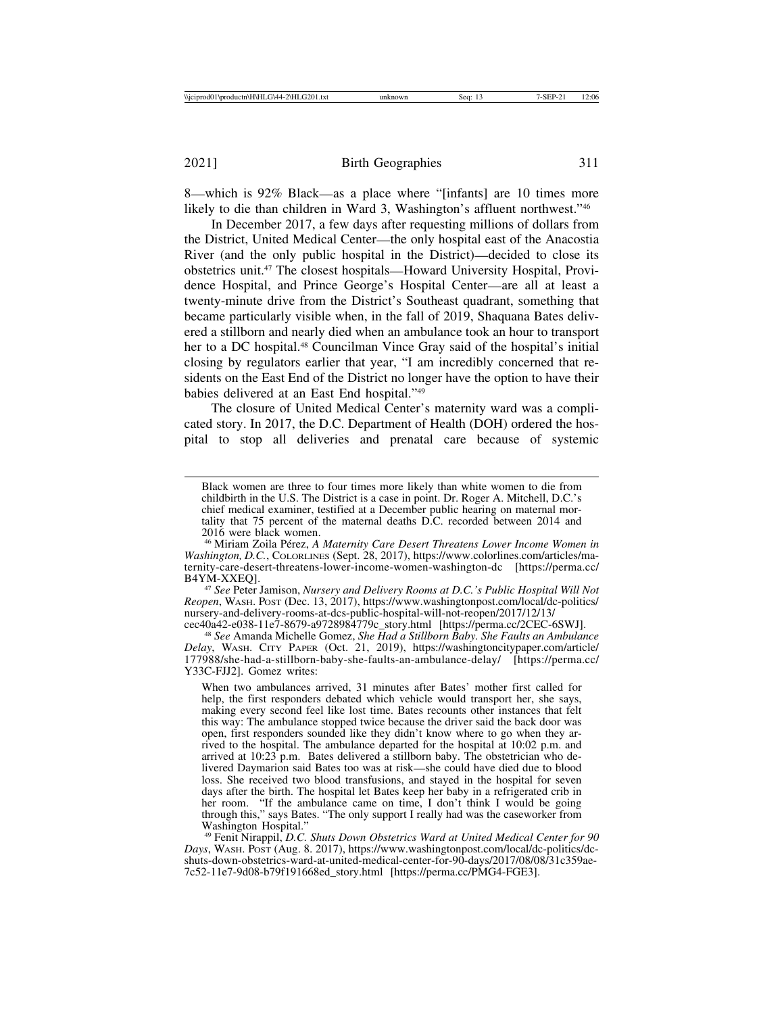8—which is 92% Black—as a place where "[infants] are 10 times more likely to die than children in Ward 3, Washington's affluent northwest."46

In December 2017, a few days after requesting millions of dollars from the District, United Medical Center—the only hospital east of the Anacostia River (and the only public hospital in the District)—decided to close its obstetrics unit.47 The closest hospitals—Howard University Hospital, Providence Hospital, and Prince George's Hospital Center—are all at least a twenty-minute drive from the District's Southeast quadrant, something that became particularly visible when, in the fall of 2019, Shaquana Bates delivered a stillborn and nearly died when an ambulance took an hour to transport her to a DC hospital.<sup>48</sup> Councilman Vince Gray said of the hospital's initial closing by regulators earlier that year, "I am incredibly concerned that residents on the East End of the District no longer have the option to have their babies delivered at an East End hospital."49

The closure of United Medical Center's maternity ward was a complicated story. In 2017, the D.C. Department of Health (DOH) ordered the hospital to stop all deliveries and prenatal care because of systemic

<sup>47</sup> See Peter Jamison, *Nursery and Delivery Rooms at D.C.'s Public Hospital Will Not Reopen*, WASH. POST (Dec. 13, 2017), https://www.washingtonpost.com/local/dc-politics/ nursery-and-delivery-rooms-at-dcs-public-hospital-will-not-reopen/2017/12/13/<br>cec40a42-e038-11e7-8679-a9728984779c\_story.html [https://perma.cc/2CEC-6SWJ].

cec40a42-e038-11e7-8679-a9728984779c\_story.html [https://perma.cc/2CEC-6SWJ]. <sup>48</sup> *See* Amanda Michelle Gomez, *She Had a Stillborn Baby. She Faults an Ambulance Delay*, WASH. CITY PAPER (Oct. 21, 2019), https://washingtoncitypaper.com/article/ 177988/she-had-a-stillborn-baby-she-faults-an-ambulance-delay/ [https://perma.cc/ Y33C-FJJ2]. Gomez writes:

When two ambulances arrived, 31 minutes after Bates' mother first called for help, the first responders debated which vehicle would transport her, she says, making every second feel like lost time. Bates recounts other instances that felt this way: The ambulance stopped twice because the driver said the back door was open, first responders sounded like they didn't know where to go when they arrived to the hospital. The ambulance departed for the hospital at 10:02 p.m. and arrived at  $10:23$  p.m. Bates delivered a stillborn baby. The obstetrician who delivered Daymarion said Bates too was at risk—she could have died due to blood loss. She received two blood transfusions, and stayed in the hospital for seven days after the birth. The hospital let Bates keep her baby in a refrigerated crib in her room. "If the ambulance came on time, I don't think I would be going through this," says Bates. "The only support I really had was the caseworker from Washington Hospital."

<sup>49</sup> Fenit Nirappil, *D.C. Shuts Down Obstetrics Ward at United Medical Center for 90 Days*, WASH. POST (Aug. 8. 2017), https://www.washingtonpost.com/local/dc-politics/dcshuts-down-obstetrics-ward-at-united-medical-center-for-90-days/2017/08/08/31c359ae-7c52-11e7-9d08-b79f191668ed\_story.html [https://perma.cc/PMG4-FGE3].

Black women are three to four times more likely than white women to die from childbirth in the U.S. The District is a case in point. Dr. Roger A. Mitchell, D.C.'s chief medical examiner, testified at a December public hearing on maternal mortality that 75 percent of the maternal deaths D.C. recorded between 2014 and 2016 were black women.

<sup>&</sup>lt;sup>46</sup> Miriam Zoila Pérez, *A Maternity Care Desert Threatens Lower Income Women in Washington, D.C.*, COLORLINES (Sept. 28, 2017), https://www.colorlines.com/articles/maternity-care-desert-threatens-lower-income-women-washington-dc [https://perma.cc/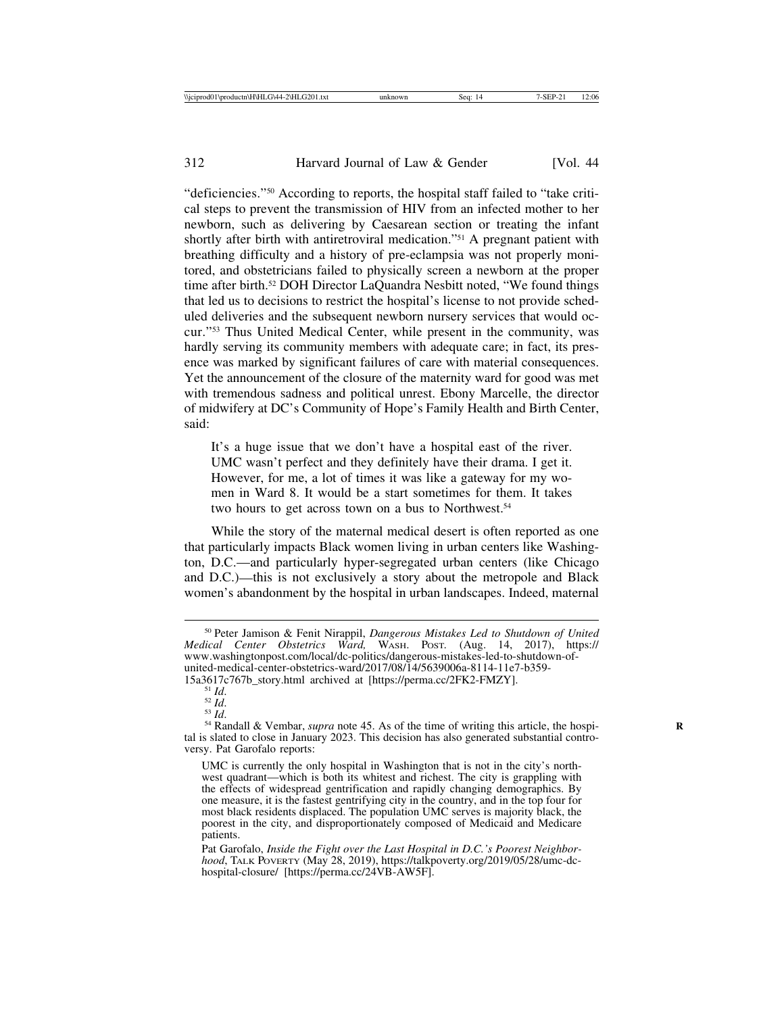"deficiencies."50 According to reports, the hospital staff failed to "take critical steps to prevent the transmission of HIV from an infected mother to her newborn, such as delivering by Caesarean section or treating the infant shortly after birth with antiretroviral medication."51 A pregnant patient with breathing difficulty and a history of pre-eclampsia was not properly monitored, and obstetricians failed to physically screen a newborn at the proper time after birth.52 DOH Director LaQuandra Nesbitt noted, "We found things that led us to decisions to restrict the hospital's license to not provide scheduled deliveries and the subsequent newborn nursery services that would occur."53 Thus United Medical Center, while present in the community, was hardly serving its community members with adequate care; in fact, its presence was marked by significant failures of care with material consequences. Yet the announcement of the closure of the maternity ward for good was met with tremendous sadness and political unrest. Ebony Marcelle, the director of midwifery at DC's Community of Hope's Family Health and Birth Center, said:

It's a huge issue that we don't have a hospital east of the river. UMC wasn't perfect and they definitely have their drama. I get it. However, for me, a lot of times it was like a gateway for my women in Ward 8. It would be a start sometimes for them. It takes two hours to get across town on a bus to Northwest.<sup>54</sup>

While the story of the maternal medical desert is often reported as one that particularly impacts Black women living in urban centers like Washington, D.C.—and particularly hyper-segregated urban centers (like Chicago and D.C.)—this is not exclusively a story about the metropole and Black women's abandonment by the hospital in urban landscapes. Indeed, maternal

<sup>50</sup> Peter Jamison & Fenit Nirappil, *Dangerous Mistakes Led to Shutdown of United Medical Center Obstetrics Ward,* WASH. POST*.* (Aug. 14, 2017), https:// www.washingtonpost.com/local/dc-politics/dangerous-mistakes-led-to-shutdown-ofunited-medical-center-obstetrics-ward/2017/08/14/5639006a-8114-11e7-b359-<br>15a3617c767b\_story.html archived at [https://perma.cc/2FK2-FMZY].

<sup>&</sup>lt;sup>51</sup> Id. <sup>52</sup> Id. <sup>52</sup> *Id.* <sup>53</sup> *Id.* <sup>53</sup> *Id.* <sup>53</sup> *Id.* 53 *Id.* 54 Randall & Vembar, *supra* note 45. As of the time of writing this article, the hospital is slated to close in January 2023. This decision has also generated substantial controversy. Pat Garofalo reports:

UMC is currently the only hospital in Washington that is not in the city's northwest quadrant—which is both its whitest and richest. The city is grappling with the effects of widespread gentrification and rapidly changing demographics. By one measure, it is the fastest gentrifying city in the country, and in the top four for most black residents displaced. The population UMC serves is majority black, the poorest in the city, and disproportionately composed of Medicaid and Medicare patients.

Pat Garofalo, *Inside the Fight over the Last Hospital in D.C.'s Poorest Neighborhood*, TALK POVERTY (May 28, 2019), https://talkpoverty.org/2019/05/28/umc-dchospital-closure/ [https://perma.cc/24VB-AW5F].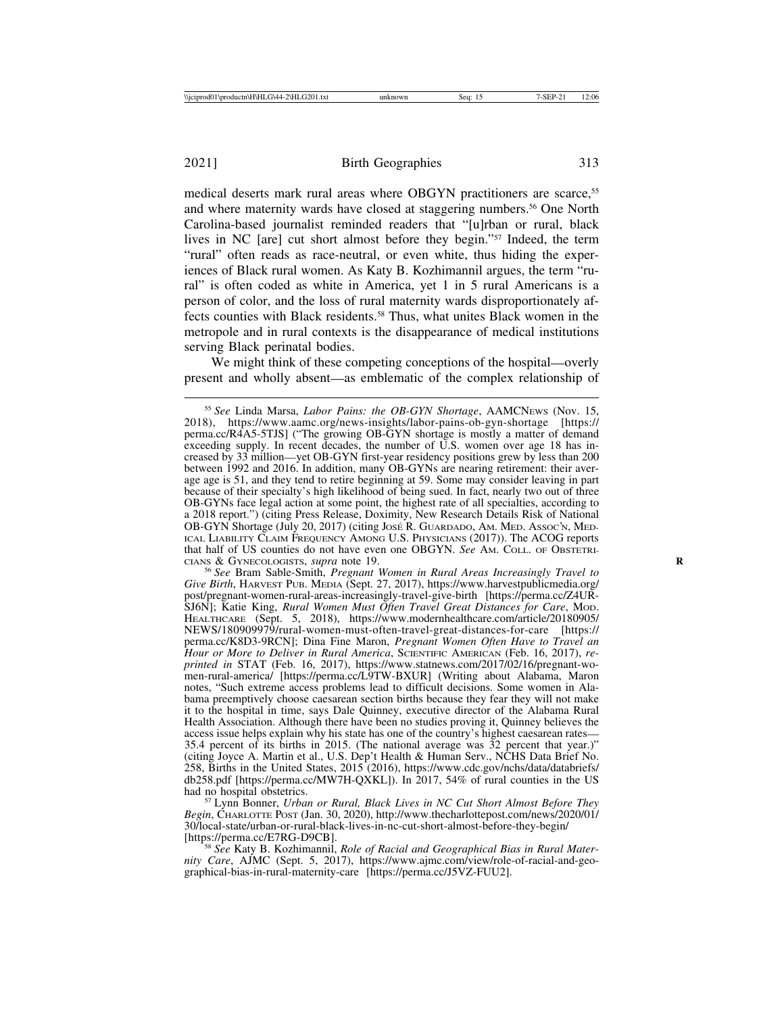medical deserts mark rural areas where OBGYN practitioners are scarce,<sup>55</sup> and where maternity wards have closed at staggering numbers.56 One North Carolina-based journalist reminded readers that "[u]rban or rural, black lives in NC [are] cut short almost before they begin."57 Indeed, the term "rural" often reads as race-neutral, or even white, thus hiding the experiences of Black rural women. As Katy B. Kozhimannil argues, the term "rural" is often coded as white in America, yet 1 in 5 rural Americans is a person of color, and the loss of rural maternity wards disproportionately affects counties with Black residents.58 Thus, what unites Black women in the metropole and in rural contexts is the disappearance of medical institutions serving Black perinatal bodies.

We might think of these competing conceptions of the hospital—overly present and wholly absent—as emblematic of the complex relationship of

<sup>56</sup> See Bram Sable-Smith, *Pregnant Women in Rural Areas Increasingly Travel to Give Birth*, HARVEST PUB. MEDIA (Sept. 27, 2017), https://www.harvestpublicmedia.org/ post/pregnant-women-rural-areas-increasingly-travel-give-birth [https://perma.cc/Z4UR-SJ6N]; Katie King, *Rural Women Must Often Travel Great Distances for Care*, MOD. HEALTHCARE (Sept. 5, 2018), https://www.modernhealthcare.com/article/20180905/ NEWS/180909979/rural-women-must-often-travel-great-distances-for-care [https:// perma.cc/K8D3-9RCN]; Dina Fine Maron, *Pregnant Women Often Have to Travel an Hour or More to Deliver in Rural America*, SCIENTIFIC AMERICAN (Feb. 16, 2017), *reprinted in* STAT (Feb. 16, 2017), https://www.statnews.com/2017/02/16/pregnant-women-rural-america/ [https://perma.cc/L9TW-BXUR] (Writing about Alabama, Maron notes, "Such extreme access problems lead to difficult decisions. Some women in Alabama preemptively choose caesarean section births because they fear they will not make it to the hospital in time, says Dale Quinney, executive director of the Alabama Rural Health Association. Although there have been no studies proving it, Quinney believes the access issue helps explain why his state has one of the country's highest caesarean rates— 35.4 percent of its births in 2015. (The national average was  $\overline{3}2$  percent that year.)" (citing Joyce A. Martin et al., U.S. Dep't Health & Human Serv., NCHS Data Brief No. 258, Births in the United States, 2015 (2016), https://www.cdc.gov/nchs/data/databriefs/ db258.pdf [https://perma.cc/MW7H-QXKL]). In 2017, 54% of rural counties in the US had no hospital obstetrics. <sup>57</sup> Lynn Bonner, *Urban or Rural, Black Lives in NC Cut Short Almost Before They*

*Begin*, CHARLOTTE POST (Jan. 30, 2020), http://www.thecharlottepost.com/news/2020/01/ 30/local-state/urban-or-rural-black-lives-in-nc-cut-short-almost-before-they-begin/

<sup>58</sup> See Katy B. Kozhimannil, *Role of Racial and Geographical Bias in Rural Maternity Care*, AJMC (Sept. 5, 2017), https://www.ajmc.com/view/role-of-racial-and-geographical-bias-in-rural-maternity-care [https://perma.cc/J5VZ-FUU2].

<sup>55</sup> *See* Linda Marsa, *Labor Pains: the OB-GYN Shortage*, AAMCNEWS (Nov. 15, 2018), https://www.aamc.org/news-insights/labor-pains-ob-gyn-shortage [https:// perma.cc/R4A5-5TJS] ("The growing OB-GYN shortage is mostly a matter of demand exceeding supply. In recent decades, the number of U.S. women over age 18 has increased by 33 million—yet OB-GYN first-year residency positions grew by less than 200 between 1992 and 2016. In addition, many OB-GYNs are nearing retirement: their average age is 51, and they tend to retire beginning at 59. Some may consider leaving in part because of their specialty's high likelihood of being sued. In fact, nearly two out of three OB-GYNs face legal action at some point, the highest rate of all specialties, according to a 2018 report.") (citing Press Release, Doximity, New Research Details Risk of National OB-GYN Shortage (July 20, 2017) (citing José R. GUARDADO, AM. MED. Assoc'n, MED-ICAL LIABILITY CLAIM FREQUENCY AMONG U.S. PHYSICIANS (2017)). The ACOG reports that half of US counties do not have even one OBGYN. *See* AM. COLL. OF OBSTETRI-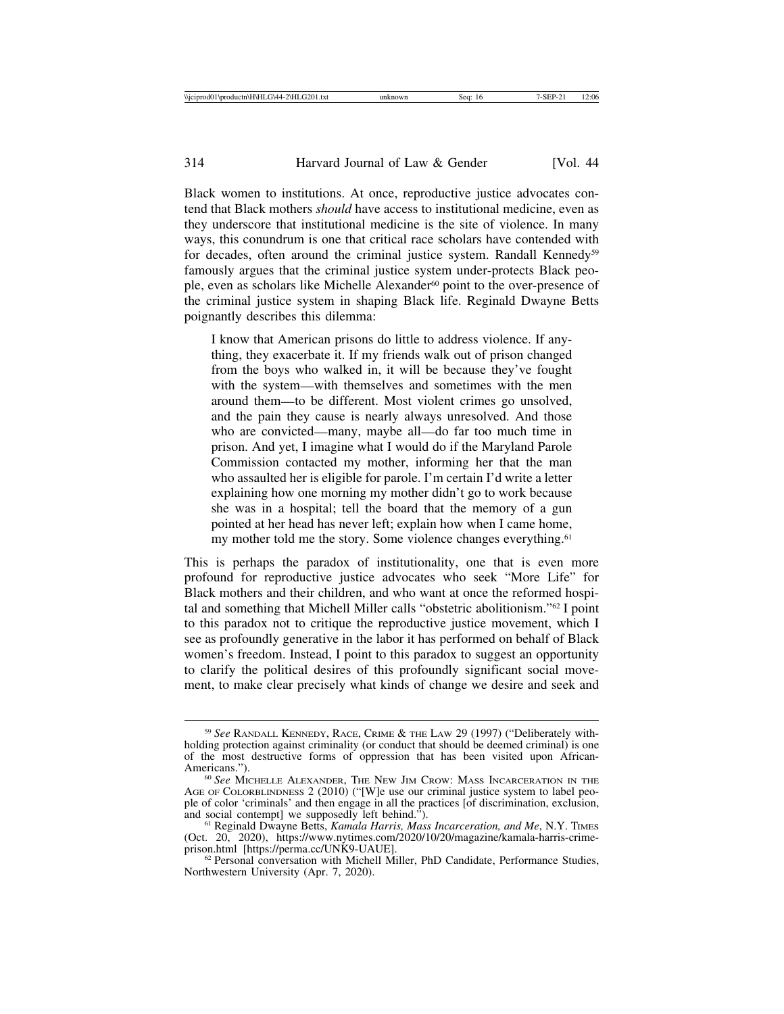Black women to institutions. At once, reproductive justice advocates contend that Black mothers *should* have access to institutional medicine, even as they underscore that institutional medicine is the site of violence. In many ways, this conundrum is one that critical race scholars have contended with for decades, often around the criminal justice system. Randall Kennedy<sup>59</sup> famously argues that the criminal justice system under-protects Black people, even as scholars like Michelle Alexander<sup>60</sup> point to the over-presence of the criminal justice system in shaping Black life. Reginald Dwayne Betts poignantly describes this dilemma:

I know that American prisons do little to address violence. If anything, they exacerbate it. If my friends walk out of prison changed from the boys who walked in, it will be because they've fought with the system—with themselves and sometimes with the men around them—to be different. Most violent crimes go unsolved, and the pain they cause is nearly always unresolved. And those who are convicted—many, maybe all—do far too much time in prison. And yet, I imagine what I would do if the Maryland Parole Commission contacted my mother, informing her that the man who assaulted her is eligible for parole. I'm certain I'd write a letter explaining how one morning my mother didn't go to work because she was in a hospital; tell the board that the memory of a gun pointed at her head has never left; explain how when I came home, my mother told me the story. Some violence changes everything.<sup>61</sup>

This is perhaps the paradox of institutionality, one that is even more profound for reproductive justice advocates who seek "More Life" for Black mothers and their children, and who want at once the reformed hospital and something that Michell Miller calls "obstetric abolitionism."62 I point to this paradox not to critique the reproductive justice movement, which I see as profoundly generative in the labor it has performed on behalf of Black women's freedom. Instead, I point to this paradox to suggest an opportunity to clarify the political desires of this profoundly significant social movement, to make clear precisely what kinds of change we desire and seek and

<sup>59</sup> *See* RANDALL KENNEDY, RACE, CRIME & THE LAW 29 (1997) ("Deliberately withholding protection against criminality (or conduct that should be deemed criminal) is one of the most destructive forms of oppression that has been visited upon African-Americans."). <sup>60</sup> *See* MICHELLE ALEXANDER, THE NEW JIM CROW: MASS INCARCERATION IN THE

AGE OF COLORBLINDNESS 2 (2010) ("[W]e use our criminal justice system to label people of color 'criminals' and then engage in all the practices [of discrimination, exclusion, and social contempt] we supposedly left behind.").

<sup>&</sup>lt;sup>61</sup> Reginald Dwayne Betts, *Kamala Harris, Mass Incarceration, and Me*, N.Y. TIMES (Oct. 20, 2020), https://www.nytimes.com/2020/10/20/magazine/kamala-harris-crime-<br>prison.html [https://perma.cc/UNK9-UAUE].

 $62$  Personal conversation with Michell Miller, PhD Candidate, Performance Studies, Northwestern University (Apr. 7, 2020).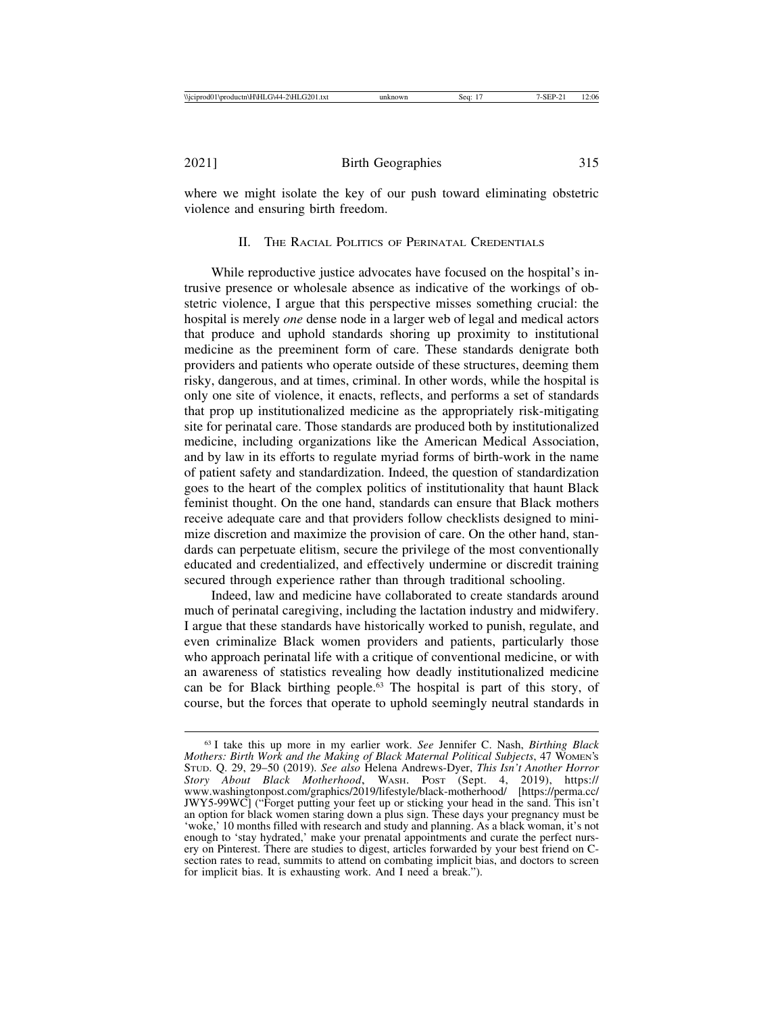where we might isolate the key of our push toward eliminating obstetric violence and ensuring birth freedom.

II. THE RACIAL POLITICS OF PERINATAL CREDENTIALS

While reproductive justice advocates have focused on the hospital's intrusive presence or wholesale absence as indicative of the workings of obstetric violence, I argue that this perspective misses something crucial: the hospital is merely *one* dense node in a larger web of legal and medical actors that produce and uphold standards shoring up proximity to institutional medicine as the preeminent form of care. These standards denigrate both providers and patients who operate outside of these structures, deeming them risky, dangerous, and at times, criminal. In other words, while the hospital is only one site of violence, it enacts, reflects, and performs a set of standards that prop up institutionalized medicine as the appropriately risk-mitigating site for perinatal care. Those standards are produced both by institutionalized medicine, including organizations like the American Medical Association, and by law in its efforts to regulate myriad forms of birth-work in the name of patient safety and standardization. Indeed, the question of standardization goes to the heart of the complex politics of institutionality that haunt Black feminist thought. On the one hand, standards can ensure that Black mothers receive adequate care and that providers follow checklists designed to minimize discretion and maximize the provision of care. On the other hand, standards can perpetuate elitism, secure the privilege of the most conventionally educated and credentialized, and effectively undermine or discredit training secured through experience rather than through traditional schooling.

Indeed, law and medicine have collaborated to create standards around much of perinatal caregiving, including the lactation industry and midwifery. I argue that these standards have historically worked to punish, regulate, and even criminalize Black women providers and patients, particularly those who approach perinatal life with a critique of conventional medicine, or with an awareness of statistics revealing how deadly institutionalized medicine can be for Black birthing people.63 The hospital is part of this story, of course, but the forces that operate to uphold seemingly neutral standards in

<sup>63</sup> I take this up more in my earlier work. *See* Jennifer C. Nash, *Birthing Black Mothers: Birth Work and the Making of Black Maternal Political Subjects*, 47 WOMEN'S STUD. Q. 29, 29–50 (2019). *See also* Helena Andrews-Dyer, *This Isn't Another Horror Story About Black Motherhood*, WASH. POST (Sept. 4, 2019), https:// www.washingtonpost.com/graphics/2019/lifestyle/black-motherhood/ [https://perma.cc/ JWY5-99WC] ("Forget putting your feet up or sticking your head in the sand. This isn't an option for black women staring down a plus sign. These days your pregnancy must be 'woke,' 10 months filled with research and study and planning. As a black woman, it's not enough to 'stay hydrated,' make your prenatal appointments and curate the perfect nursery on Pinterest. There are studies to digest, articles forwarded by your best friend on Csection rates to read, summits to attend on combating implicit bias, and doctors to screen for implicit bias. It is exhausting work. And I need a break.").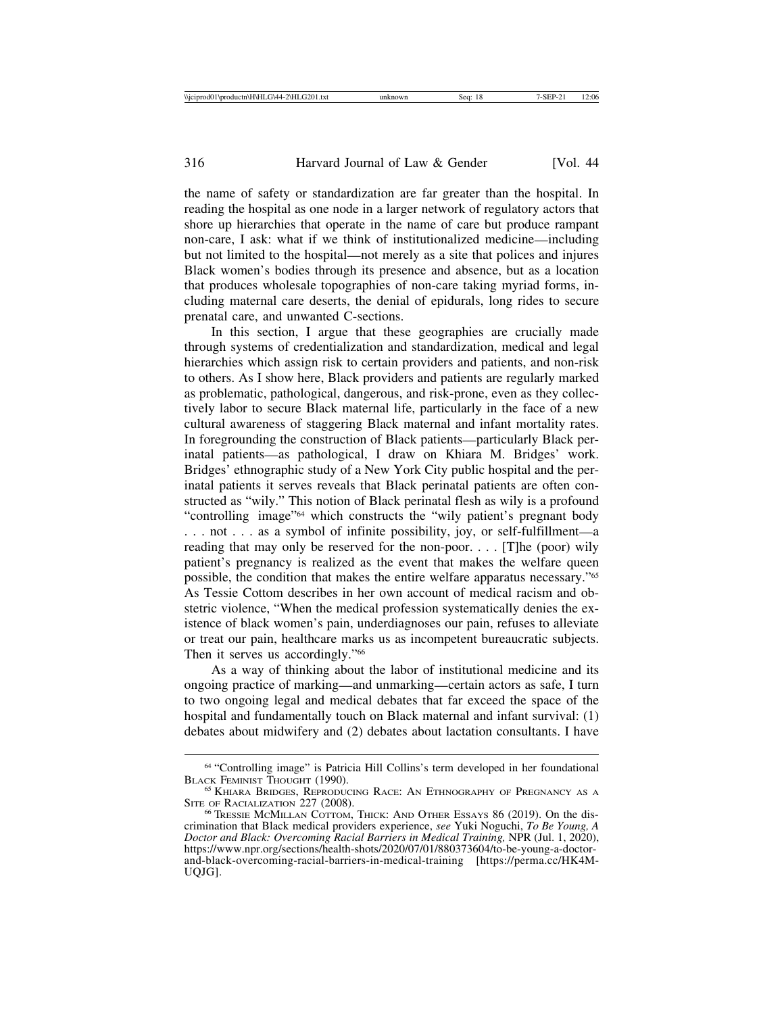the name of safety or standardization are far greater than the hospital. In reading the hospital as one node in a larger network of regulatory actors that shore up hierarchies that operate in the name of care but produce rampant non-care, I ask: what if we think of institutionalized medicine—including but not limited to the hospital—not merely as a site that polices and injures Black women's bodies through its presence and absence, but as a location that produces wholesale topographies of non-care taking myriad forms, including maternal care deserts, the denial of epidurals, long rides to secure prenatal care, and unwanted C-sections.

In this section, I argue that these geographies are crucially made through systems of credentialization and standardization, medical and legal hierarchies which assign risk to certain providers and patients, and non-risk to others. As I show here, Black providers and patients are regularly marked as problematic, pathological, dangerous, and risk-prone, even as they collectively labor to secure Black maternal life, particularly in the face of a new cultural awareness of staggering Black maternal and infant mortality rates. In foregrounding the construction of Black patients—particularly Black perinatal patients—as pathological, I draw on Khiara M. Bridges' work. Bridges' ethnographic study of a New York City public hospital and the perinatal patients it serves reveals that Black perinatal patients are often constructed as "wily." This notion of Black perinatal flesh as wily is a profound "controlling image"64 which constructs the "wily patient's pregnant body . . . not . . . as a symbol of infinite possibility, joy, or self-fulfillment—a reading that may only be reserved for the non-poor.  $\ldots$  [T]he (poor) wily patient's pregnancy is realized as the event that makes the welfare queen possible, the condition that makes the entire welfare apparatus necessary."65 As Tessie Cottom describes in her own account of medical racism and obstetric violence, "When the medical profession systematically denies the existence of black women's pain, underdiagnoses our pain, refuses to alleviate or treat our pain, healthcare marks us as incompetent bureaucratic subjects. Then it serves us accordingly."<sup>66</sup>

As a way of thinking about the labor of institutional medicine and its ongoing practice of marking—and unmarking—certain actors as safe, I turn to two ongoing legal and medical debates that far exceed the space of the hospital and fundamentally touch on Black maternal and infant survival: (1) debates about midwifery and (2) debates about lactation consultants. I have

<sup>&</sup>lt;sup>64</sup> "Controlling image" is Patricia Hill Collins's term developed in her foundational BLACK FEMINIST THOUGHT (1990).

 $^{65}$  Khiara Bridges, Reproducing Race: An Ethnography of Pregnancy as a Site of Racialization 227 (2008).

<sup>&</sup>lt;sup>66</sup> TRESSIE MCMILLAN COTTOM, THICK: AND OTHER ESSAYS 86 (2019). On the discrimination that Black medical providers experience, *see* Yuki Noguchi, *To Be Young, A Doctor and Black: Overcoming Racial Barriers in Medical Training,* NPR (Jul. 1, 2020), https://www.npr.org/sections/health-shots/2020/07/01/880373604/to-be-young-a-doctorand-black-overcoming-racial-barriers-in-medical-training [https://perma.cc/HK4M-UQJG].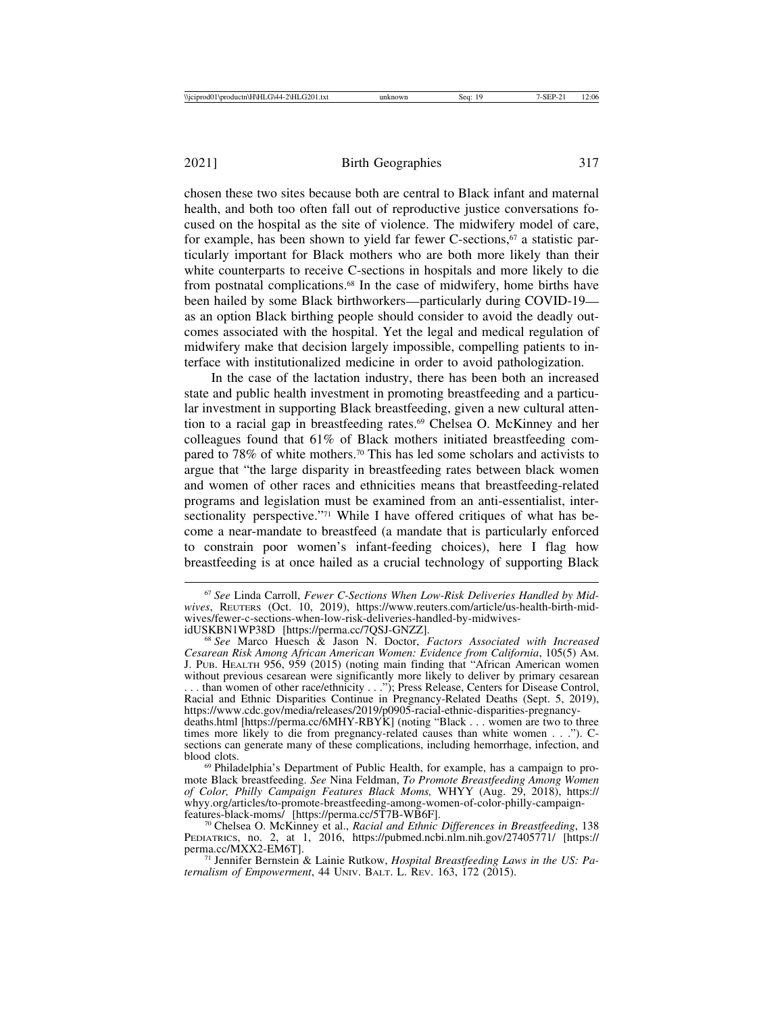2021] Birth Geographies 317

chosen these two sites because both are central to Black infant and maternal health, and both too often fall out of reproductive justice conversations focused on the hospital as the site of violence. The midwifery model of care, for example, has been shown to yield far fewer C-sections, $67$  a statistic particularly important for Black mothers who are both more likely than their white counterparts to receive C-sections in hospitals and more likely to die from postnatal complications.68 In the case of midwifery, home births have been hailed by some Black birthworkers—particularly during COVID-19 as an option Black birthing people should consider to avoid the deadly outcomes associated with the hospital. Yet the legal and medical regulation of midwifery make that decision largely impossible, compelling patients to interface with institutionalized medicine in order to avoid pathologization.

In the case of the lactation industry, there has been both an increased state and public health investment in promoting breastfeeding and a particular investment in supporting Black breastfeeding, given a new cultural attention to a racial gap in breastfeeding rates.69 Chelsea O. McKinney and her colleagues found that 61% of Black mothers initiated breastfeeding compared to 78% of white mothers.<sup>70</sup> This has led some scholars and activists to argue that "the large disparity in breastfeeding rates between black women and women of other races and ethnicities means that breastfeeding-related programs and legislation must be examined from an anti-essentialist, intersectionality perspective."<sup>71</sup> While I have offered critiques of what has become a near-mandate to breastfeed (a mandate that is particularly enforced to constrain poor women's infant-feeding choices), here I flag how breastfeeding is at once hailed as a crucial technology of supporting Black

<sup>67</sup> *See* Linda Carroll, *Fewer C-Sections When Low-Risk Deliveries Handled by Midwives*, REUTERS (Oct. 10, 2019), https://www.reuters.com/article/us-health-birth-midwives/fewer-c-sections-when-low-risk-deliveries-handled-by-midwives-idUSKBN1WP38D [https://perma.cc/7QSJ-GNZZ].

idUSKBN1WP38D [https://perma.cc/7QSJ-GNZZ]. <sup>68</sup> *See* Marco Huesch & Jason N. Doctor, *Factors Associated with Increased Cesarean Risk Among African American Women: Evidence from California*, 105(5) AM. J. PUB. HEALTH 956, 959 (2015) (noting main finding that "African American women without previous cesarean were significantly more likely to deliver by primary cesarean . . . than women of other race/ethnicity . . ."); Press Release, Centers for Disease Control, Racial and Ethnic Disparities Continue in Pregnancy-Related Deaths (Sept. 5, 2019), https://www.cdc.gov/media/releases/2019/p0905-racial-ethnic-disparities-pregnancydeaths.html [https://perma.cc/6MHY-RBYK] (noting "Black . . . women are two to three times more likely to die from pregnancy-related causes than white women . . ."). Csections can generate many of these complications, including hemorrhage, infection, and

<sup>&</sup>lt;sup>69</sup> Philadelphia's Department of Public Health, for example, has a campaign to promote Black breastfeeding. *See* Nina Feldman, *To Promote Breastfeeding Among Women of Color, Philly Campaign Features Black Moms,* WHYY (Aug. 29, 2018), https:// whyy.org/articles/to-promote-breastfeeding-among-women-of-color-philly-campaign-<br>features-black-moms/ [https://perma.cc/5T7B-WB6F].

<sup>&</sup>lt;sup>70</sup> Chelsea O. McKinney et al., *Racial and Ethnic Differences in Breastfeeding*, 138 PEDIATRICS, no. 2, at 1, 2016, https://pubmed.ncbi.nlm.nih.gov/27405771/ [https:// perma.cc/MXX2-EM6T].

<sup>&</sup>lt;sup>71</sup> Jennifer Bernstein & Lainie Rutkow, *Hospital Breastfeeding Laws in the US: Paternalism of Empowerment*, 44 UNIV. BALT. L. REV. 163, 172 (2015).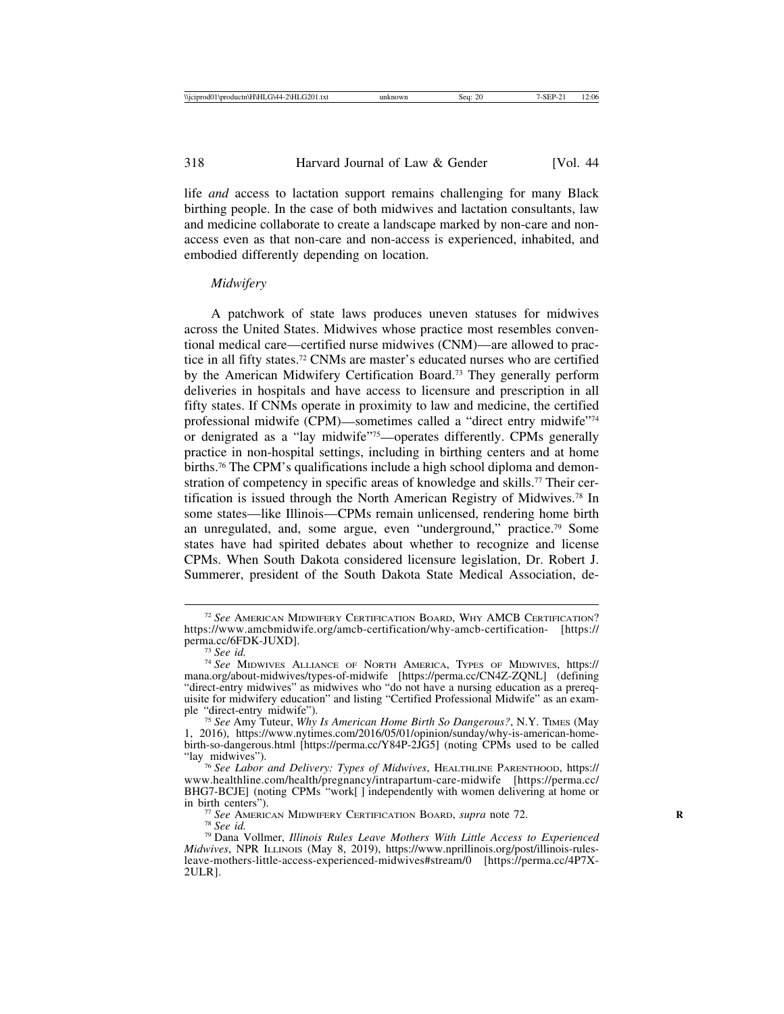life *and* access to lactation support remains challenging for many Black birthing people. In the case of both midwives and lactation consultants, law and medicine collaborate to create a landscape marked by non-care and nonaccess even as that non-care and non-access is experienced, inhabited, and embodied differently depending on location.

## *Midwifery*

A patchwork of state laws produces uneven statuses for midwives across the United States. Midwives whose practice most resembles conventional medical care—certified nurse midwives (CNM)—are allowed to practice in all fifty states.72 CNMs are master's educated nurses who are certified by the American Midwifery Certification Board.73 They generally perform deliveries in hospitals and have access to licensure and prescription in all fifty states. If CNMs operate in proximity to law and medicine, the certified professional midwife (CPM)—sometimes called a "direct entry midwife"74 or denigrated as a "lay midwife"75—operates differently. CPMs generally practice in non-hospital settings, including in birthing centers and at home births.76 The CPM's qualifications include a high school diploma and demonstration of competency in specific areas of knowledge and skills.<sup>77</sup> Their certification is issued through the North American Registry of Midwives.78 In some states—like Illinois—CPMs remain unlicensed, rendering home birth an unregulated, and, some argue, even "underground," practice.79 Some states have had spirited debates about whether to recognize and license CPMs. When South Dakota considered licensure legislation, Dr. Robert J. Summerer, president of the South Dakota State Medical Association, de-

<sup>72</sup> *See* AMERICAN MIDWIFERY CERTIFICATION BOARD, WHY AMCB CERTIFICATION? https://www.amcbmidwife.org/amcb-certification/why-amcb-certification- [https://

<sup>&</sup>lt;sup>73</sup> See id.<br><sup>74</sup> See MIDWIVES ALLIANCE OF NORTH AMERICA, TYPES OF MIDWIVES, https:// mana.org/about-midwives/types-of-midwife [https://perma.cc/CN4Z-ZQNL] (defining "direct-entry midwives" as midwives who "do not have a nursing education as a prerequisite for midwifery education" and listing "Certified Professional Midwife" as an example "direct-entry midwife"). <sup>75</sup> *See* Amy Tuteur, *Why Is American Home Birth So Dangerous?*, N.Y. TIMES (May

<sup>1, 2016),</sup> https://www.nytimes.com/2016/05/01/opinion/sunday/why-is-american-homebirth-so-dangerous.html [https://perma.cc/Y84P-2JG5] (noting CPMs used to be called "lay midwives").

<sup>&</sup>lt;sup>76</sup> See Labor and Delivery: Types of Midwives, HEALTHLINE PARENTHOOD, https:// www.healthline.com/health/pregnancy/intrapartum-care-midwife [https://perma.cc/ BHG7-BCJE] (noting CPMs "work[] independently with women delivering at home or<br>in birth centers").

<sup>&</sup>lt;sup>77</sup> *See* AMERICAN MIDWIFERY CERTIFICATION BOARD, *supra* note 72.<br><sup>78</sup> *See id. P* Dana Vollmer, *Illinois Rules Leave Mothers With Little Access to Experienced Midwives*, NPR ILLINOIS (May 8, 2019), https://www.nprillinois.org/post/illinois-rulesleave-mothers-little-access-experienced-midwives#stream/0 [https://perma.cc/4P7X-2ULR].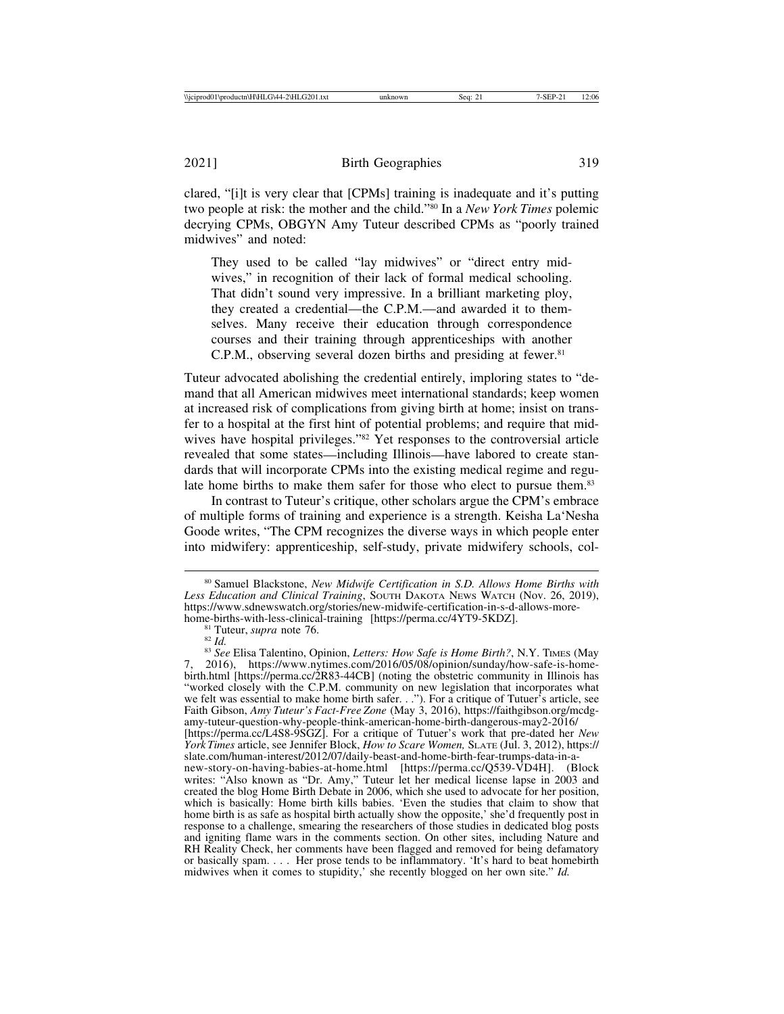clared, "[i]t is very clear that [CPMs] training is inadequate and it's putting two people at risk: the mother and the child."80 In a *New York Times* polemic decrying CPMs, OBGYN Amy Tuteur described CPMs as "poorly trained midwives" and noted:

They used to be called "lay midwives" or "direct entry midwives," in recognition of their lack of formal medical schooling. That didn't sound very impressive. In a brilliant marketing ploy, they created a credential—the C.P.M.—and awarded it to themselves. Many receive their education through correspondence courses and their training through apprenticeships with another C.P.M., observing several dozen births and presiding at fewer.<sup>81</sup>

Tuteur advocated abolishing the credential entirely, imploring states to "demand that all American midwives meet international standards; keep women at increased risk of complications from giving birth at home; insist on transfer to a hospital at the first hint of potential problems; and require that midwives have hospital privileges."82 Yet responses to the controversial article revealed that some states—including Illinois—have labored to create standards that will incorporate CPMs into the existing medical regime and regulate home births to make them safer for those who elect to pursue them.<sup>83</sup>

In contrast to Tuteur's critique, other scholars argue the CPM's embrace of multiple forms of training and experience is a strength. Keisha La'Nesha Goode writes, "The CPM recognizes the diverse ways in which people enter into midwifery: apprenticeship, self-study, private midwifery schools, col-

<sup>81</sup> Tuteur, *supra* note 76.<br><sup>82</sup> *Id.* 83 *See* Elisa Talentino, Opinion, *Letters: How Safe is Home Birth?*, N.Y. TIMES (May 7, 2016), https://www.nytimes.com/2016/05/08/opinion/sunday/how-safe-is-homebirth.html [https://perma.cc/2R83-44CB] (noting the obstetric community in Illinois has "worked closely with the C.P.M. community on new legislation that incorporates what we felt was essential to make home birth safer. . ."). For a critique of Tutuer's article, see Faith Gibson, *Amy Tuteur's Fact-Free Zone* (May 3, 2016), https://faithgibson.org/mcdgamy-tuteur-question-why-people-think-american-home-birth-dangerous-may2-2016/ [https://perma.cc/L4S8-9SGZ]. For a critique of Tutuer's work that pre-dated her *New York Times* article, see Jennifer Block, *How to Scare Women,* SLATE (Jul. 3, 2012), https:// slate.com/human-interest/2012/07/daily-beast-and-home-birth-fear-trumps-data-in-anew-story-on-having-babies-at-home.html [https://perma.cc/Q539-VD4H]. (Block writes: "Also known as "Dr. Amy," Tuteur let her medical license lapse in 2003 and created the blog Home Birth Debate in 2006, which she used to advocate for her position, which is basically: Home birth kills babies. 'Even the studies that claim to show that home birth is as safe as hospital birth actually show the opposite,' she'd frequently post in response to a challenge, smearing the researchers of those studies in dedicated blog posts and igniting flame wars in the comments section. On other sites, including Nature and RH Reality Check, her comments have been flagged and removed for being defamatory or basically spam. . . . Her prose tends to be inflammatory. 'It's hard to beat homebirth midwives when it comes to stupidity,' she recently blogged on her own site." *Id.*

<sup>80</sup> Samuel Blackstone, *New Midwife Certification in S.D. Allows Home Births with* Less Education and Clinical Training, SOUTH DAKOTA NEWS WATCH (Nov. 26, 2019), https://www.sdnewswatch.org/stories/new-midwife-certification-in-s-d-allows-more-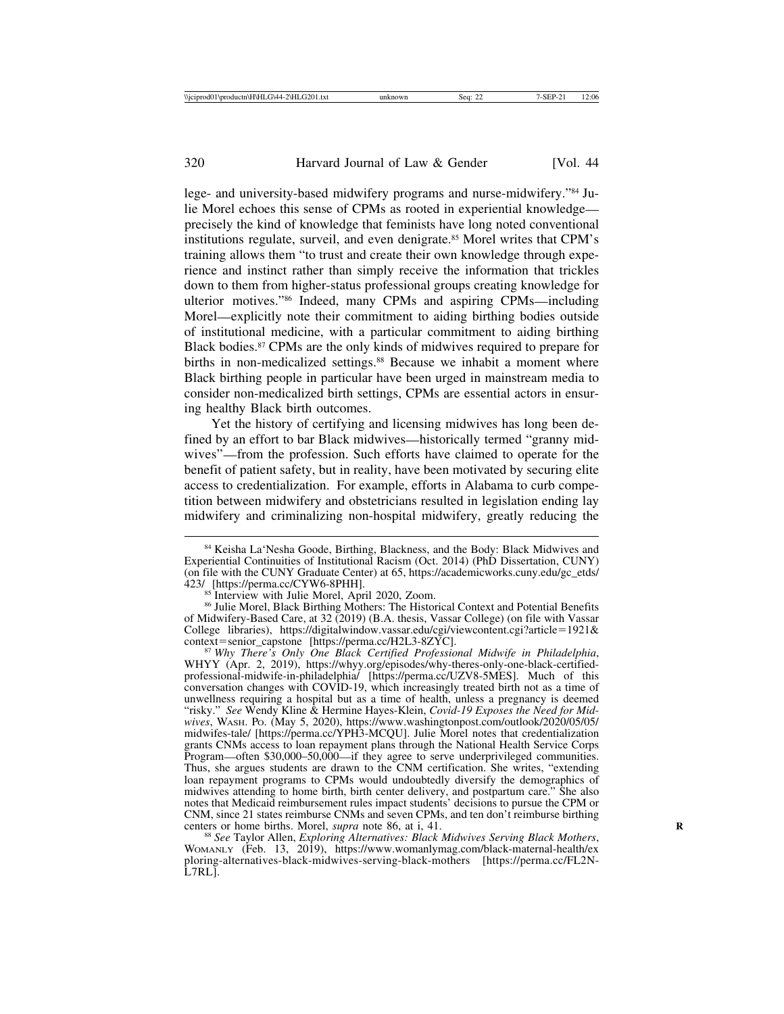lege- and university-based midwifery programs and nurse-midwifery."84 Julie Morel echoes this sense of CPMs as rooted in experiential knowledge precisely the kind of knowledge that feminists have long noted conventional institutions regulate, surveil, and even denigrate.<sup>85</sup> Morel writes that CPM's training allows them "to trust and create their own knowledge through experience and instinct rather than simply receive the information that trickles down to them from higher-status professional groups creating knowledge for ulterior motives."86 Indeed, many CPMs and aspiring CPMs—including Morel—explicitly note their commitment to aiding birthing bodies outside of institutional medicine, with a particular commitment to aiding birthing Black bodies.87 CPMs are the only kinds of midwives required to prepare for births in non-medicalized settings.<sup>88</sup> Because we inhabit a moment where Black birthing people in particular have been urged in mainstream media to consider non-medicalized birth settings, CPMs are essential actors in ensuring healthy Black birth outcomes.

Yet the history of certifying and licensing midwives has long been defined by an effort to bar Black midwives—historically termed "granny midwives"—from the profession. Such efforts have claimed to operate for the benefit of patient safety, but in reality, have been motivated by securing elite access to credentialization. For example, efforts in Alabama to curb competition between midwifery and obstetricians resulted in legislation ending lay midwifery and criminalizing non-hospital midwifery, greatly reducing the

<sup>85</sup> Interview with Julie Morel, April 2020, Zoom. 86 Julie Morel, Black Birthing Mothers: The Historical Context and Potential Benefits of Midwifery-Based Care, at 32 (2019) (B.A. thesis, Vassar College) (on file with Vassar College libraries), https://digitalwindow.vassar.edu/cgi/viewcontent.cgi?article=1921&

<sup>87</sup> Why There's Only One Black Certified Professional Midwife in Philadelphia, WHYY (Apr. 2, 2019), https://whyy.org/episodes/why-theres-only-one-black-certifiedprofessional-midwife-in-philadelphia/ [https://perma.cc/UZV8-5MES]. Much of this conversation changes with COVID-19, which increasingly treated birth not as a time of unwellness requiring a hospital but as a time of health, unless a pregnancy is deemed "risky." *See* Wendy Kline & Hermine Hayes-Klein, *Covid-19 Exposes the Need for Midwives*, WASH. PO. (May 5, 2020), https://www.washingtonpost.com/outlook/2020/05/05/ midwifes-tale/ [https://perma.cc/YPH3-MCQU]. Julie Morel notes that credentialization grants CNMs access to loan repayment plans through the National Health Service Corps Program—often \$30,000–50,000—if they agree to serve underprivileged communities. Thus, she argues students are drawn to the CNM certification. She writes, "extending loan repayment programs to CPMs would undoubtedly diversify the demographics of midwives attending to home birth, birth center delivery, and postpartum care." She also notes that Medicaid reimbursement rules impact students' decisions to pursue the CPM or CNM, since 21 states reimburse CNMs and seven CPMs, and ten don't reimburse birthing centers or home births. Morel, *supra* note 86, at i, 41.

<sup>88</sup> See Taylor Allen, *Exploring Alternatives: Black Midwives Serving Black Mothers*, WOMANLY (Feb. 13, 2019), https://www.womanlymag.com/black-maternal-health/ex ploring-alternatives-black-midwives-serving-black-mothers [https://perma.cc/FL2N-L7RL].

<sup>84</sup> Keisha La'Nesha Goode, Birthing, Blackness, and the Body: Black Midwives and Experiential Continuities of Institutional Racism (Oct. 2014) (PhD Dissertation, CUNY) (on file with the CUNY Graduate Center) at 65, https://academicworks.cuny.edu/gc\_etds/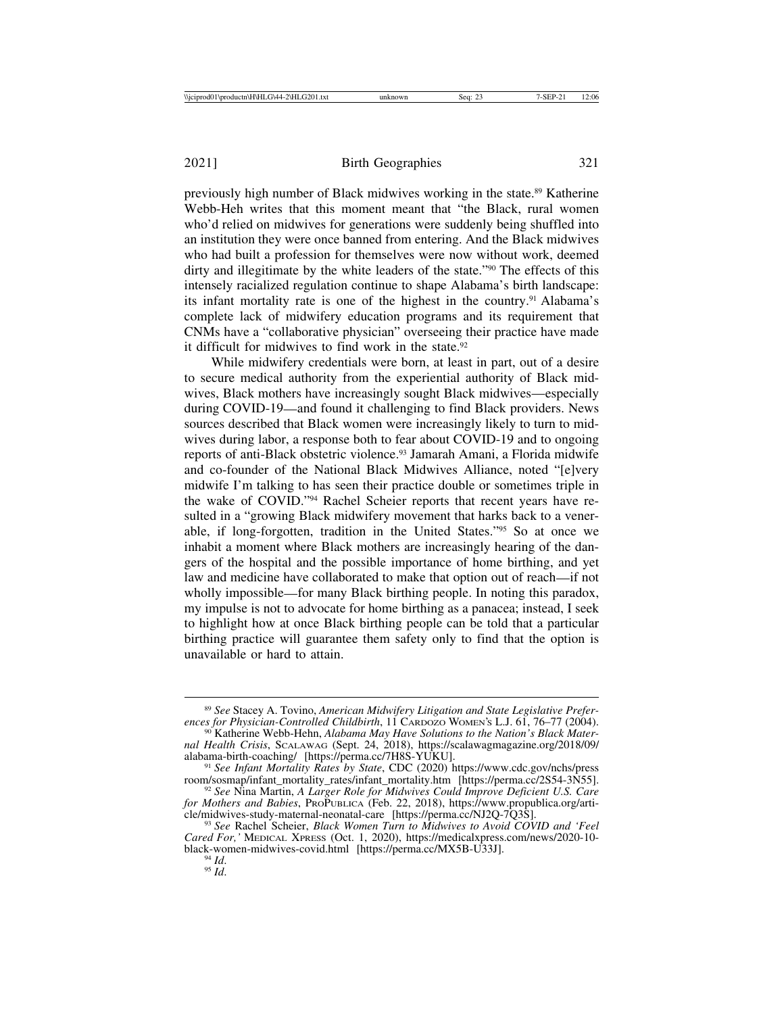previously high number of Black midwives working in the state.89 Katherine Webb-Heh writes that this moment meant that "the Black, rural women who'd relied on midwives for generations were suddenly being shuffled into an institution they were once banned from entering. And the Black midwives who had built a profession for themselves were now without work, deemed dirty and illegitimate by the white leaders of the state."90 The effects of this intensely racialized regulation continue to shape Alabama's birth landscape: its infant mortality rate is one of the highest in the country.91 Alabama's complete lack of midwifery education programs and its requirement that CNMs have a "collaborative physician" overseeing their practice have made it difficult for midwives to find work in the state. $92$ 

While midwifery credentials were born, at least in part, out of a desire to secure medical authority from the experiential authority of Black midwives, Black mothers have increasingly sought Black midwives—especially during COVID-19—and found it challenging to find Black providers. News sources described that Black women were increasingly likely to turn to midwives during labor, a response both to fear about COVID-19 and to ongoing reports of anti-Black obstetric violence.93 Jamarah Amani, a Florida midwife and co-founder of the National Black Midwives Alliance, noted "[e]very midwife I'm talking to has seen their practice double or sometimes triple in the wake of COVID."94 Rachel Scheier reports that recent years have resulted in a "growing Black midwifery movement that harks back to a venerable, if long-forgotten, tradition in the United States."95 So at once we inhabit a moment where Black mothers are increasingly hearing of the dangers of the hospital and the possible importance of home birthing, and yet law and medicine have collaborated to make that option out of reach—if not wholly impossible—for many Black birthing people. In noting this paradox, my impulse is not to advocate for home birthing as a panacea; instead, I seek to highlight how at once Black birthing people can be told that a particular birthing practice will guarantee them safety only to find that the option is unavailable or hard to attain.

<sup>89</sup> *See* Stacey A. Tovino, *American Midwifery Litigation and State Legislative Preferences for Physician-Controlled Childbirth*, 11 CARDOZO WOMEN'S L.J. 61, 76–77 (2004). <sup>90</sup> Katherine Webb-Hehn, *Alabama May Have Solutions to the Nation's Black Mater-*

*nal Health Crisis*, SCALAWAG (Sept. 24, 2018), https://scalawagmagazine.org/2018/09/

<sup>&</sup>lt;sup>91</sup> See Infant Mortality Rates by State, CDC (2020) https://www.cdc.gov/nchs/press room/sosmap/infant\_mortality\_rates/infant\_mortality.htm [https://perma.cc/2S54-3N55].

<sup>&</sup>lt;sup>92</sup> See Nina Martin, *A Larger Role for Midwives Could Improve Deficient U.S. Care for Mothers and Babies*, PROPUBLICA (Feb. 22, 2018), https://www.propublica.org/arti-cle/midwives-study-maternal-neonatal-care [https://perma.cc/NJ2Q-7Q3S].

<sup>&</sup>lt;sup>93</sup> See Rachel Scheier, *Black Women Turn to Midwives to Avoid COVID and 'Feel Cared For,'* MEDICAL XPRESS (Oct. 1, 2020), https://medicalxpress.com/news/2020-10 black-women-midwives-covid.html [https://perma.cc/MX5B-U33J].<br><sup>94</sup> *Id.* 95 *Id*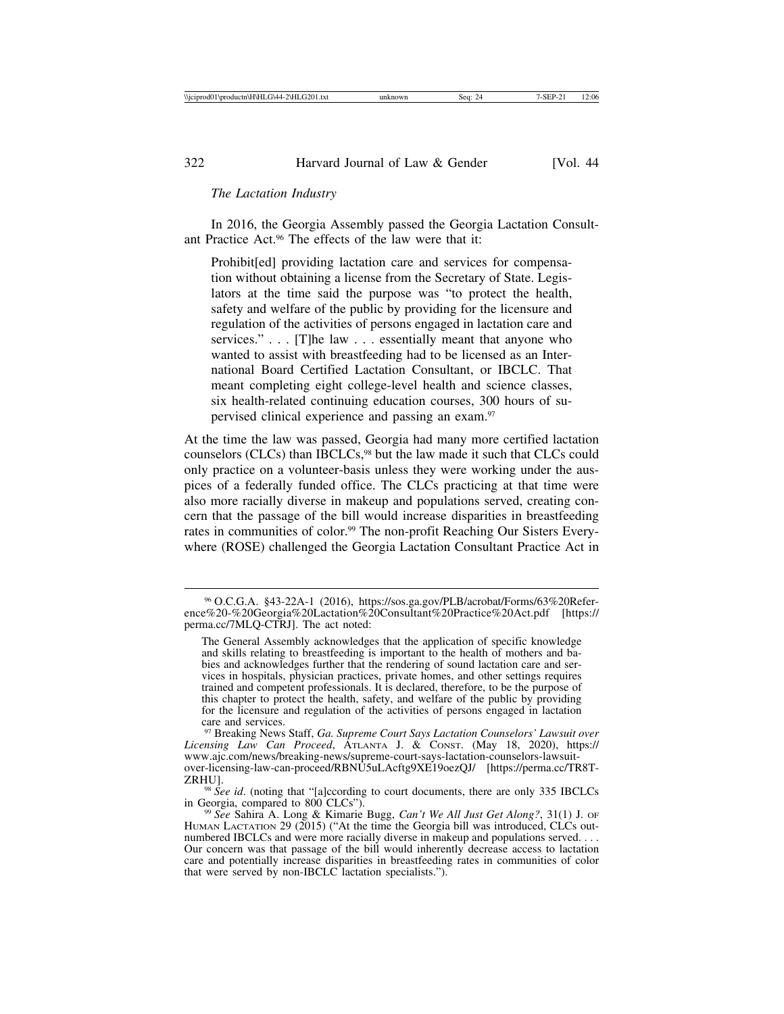### *The Lactation Industry*

In 2016, the Georgia Assembly passed the Georgia Lactation Consultant Practice Act.96 The effects of the law were that it:

Prohibited providing lactation care and services for compensation without obtaining a license from the Secretary of State. Legislators at the time said the purpose was "to protect the health, safety and welfare of the public by providing for the licensure and regulation of the activities of persons engaged in lactation care and services." . . . [T]he law . . . essentially meant that anyone who wanted to assist with breastfeeding had to be licensed as an International Board Certified Lactation Consultant, or IBCLC. That meant completing eight college-level health and science classes, six health-related continuing education courses, 300 hours of supervised clinical experience and passing an exam.97

At the time the law was passed, Georgia had many more certified lactation counselors (CLCs) than IBCLCs,<sup>98</sup> but the law made it such that CLCs could only practice on a volunteer-basis unless they were working under the auspices of a federally funded office. The CLCs practicing at that time were also more racially diverse in makeup and populations served, creating concern that the passage of the bill would increase disparities in breastfeeding rates in communities of color.<sup>99</sup> The non-profit Reaching Our Sisters Everywhere (ROSE) challenged the Georgia Lactation Consultant Practice Act in

<sup>97</sup> Breaking News Staff, *Ga. Supreme Court Says Lactation Counselors' Lawsuit over Licensing Law Can Proceed*, ATLANTA J. & CONST. (May 18, 2020), https:// www.ajc.com/news/breaking-news/supreme-court-says-lactation-counselors-lawsuitover-licensing-law-can-proceed/RBNU5uLAcftg9XE19oezQJ/ [https://perma.cc/TR8T-

ZRHU]. <sup>98</sup> *See id*. (noting that "[a]ccording to court documents, there are only 335 IBCLCs

<sup>96</sup> O.C.G.A. §43-22A-1 (2016), https://sos.ga.gov/PLB/acrobat/Forms/63%20Reference%20-%20Georgia%20Lactation%20Consultant%20Practice%20Act.pdf [https:// perma.cc/7MLQ-CTRJ]. The act noted:

The General Assembly acknowledges that the application of specific knowledge and skills relating to breastfeeding is important to the health of mothers and babies and acknowledges further that the rendering of sound lactation care and services in hospitals, physician practices, private homes, and other settings requires trained and competent professionals. It is declared, therefore, to be the purpose of this chapter to protect the health, safety, and welfare of the public by providing for the licensure and regulation of the activities of persons engaged in lactation care and services.

<sup>&</sup>lt;sup>99</sup> See Sahira A. Long & Kimarie Bugg, *Can't We All Just Get Along?*, 31(1) J. OF HUMAN LACTATION 29 (2015) ("At the time the Georgia bill was introduced, CLCs outnumbered IBCLCs and were more racially diverse in makeup and populations served. . . . Our concern was that passage of the bill would inherently decrease access to lactation care and potentially increase disparities in breastfeeding rates in communities of color that were served by non-IBCLC lactation specialists.").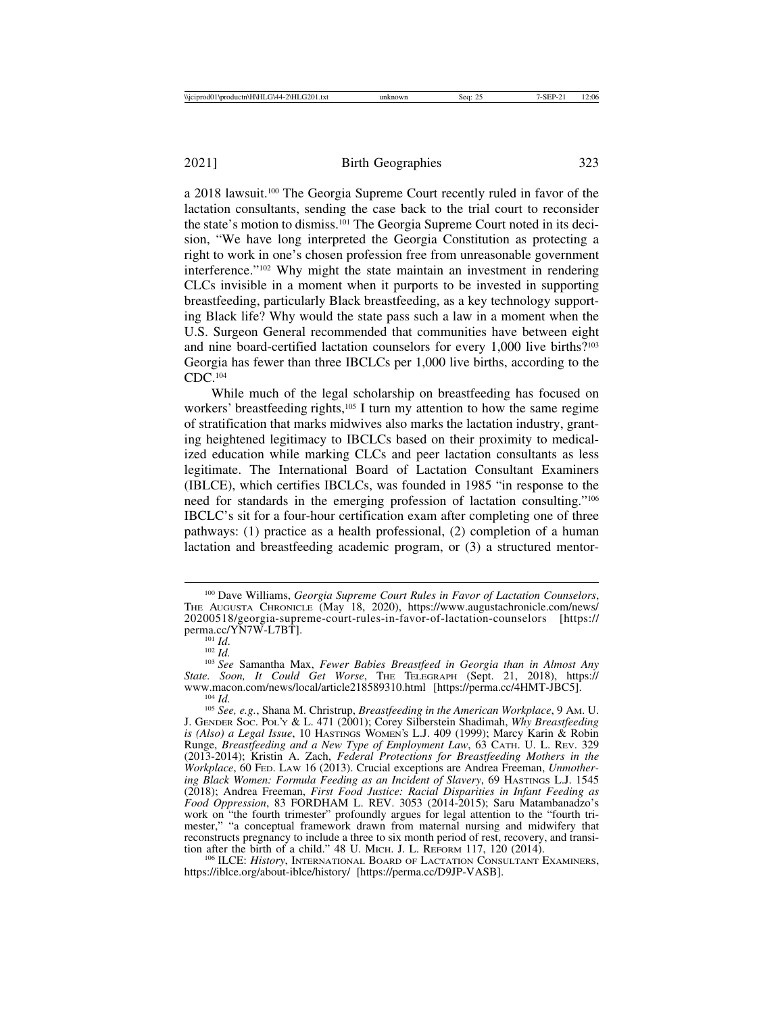2021] Birth Geographies 323

a 2018 lawsuit.100 The Georgia Supreme Court recently ruled in favor of the lactation consultants, sending the case back to the trial court to reconsider the state's motion to dismiss.101 The Georgia Supreme Court noted in its decision, "We have long interpreted the Georgia Constitution as protecting a right to work in one's chosen profession free from unreasonable government interference."102 Why might the state maintain an investment in rendering CLCs invisible in a moment when it purports to be invested in supporting breastfeeding, particularly Black breastfeeding, as a key technology supporting Black life? Why would the state pass such a law in a moment when the U.S. Surgeon General recommended that communities have between eight and nine board-certified lactation counselors for every 1,000 live births?103 Georgia has fewer than three IBCLCs per 1,000 live births, according to the CDC.104

While much of the legal scholarship on breastfeeding has focused on workers' breastfeeding rights,<sup>105</sup> I turn my attention to how the same regime of stratification that marks midwives also marks the lactation industry, granting heightened legitimacy to IBCLCs based on their proximity to medicalized education while marking CLCs and peer lactation consultants as less legitimate. The International Board of Lactation Consultant Examiners (IBLCE), which certifies IBCLCs, was founded in 1985 "in response to the need for standards in the emerging profession of lactation consulting."106 IBCLC's sit for a four-hour certification exam after completing one of three pathways: (1) practice as a health professional, (2) completion of a human lactation and breastfeeding academic program, or (3) a structured mentor-

<sup>100</sup> Dave Williams, *Georgia Supreme Court Rules in Favor of Lactation Counselors*, THE AUGUSTA CHRONICLE (May 18, 2020), https://www.augustachronicle.com/news/ 20200518/georgia-supreme-court-rules-in-favor-of-lactation-counselors [https://

not *Id.* 102 *Id.* 102 *Id.* 102 *Id.* 103 *Id.* 103 *Id.* 103 *See* Samantha Max, *Fewer Babies Breastfeed in Georgia than in Almost Any State. Soon, It Could Get Worse*, THE TELEGRAPH (Sept. 21, 2018), https:// <sup>104</sup> Id.<br><sup>105</sup> See, e.g., Shana M. Christrup, *Breastfeeding in the American Workplace*, 9 Am. U.

J. GENDER SOC. POL'Y & L. 471 (2001); Corey Silberstein Shadimah, *Why Breastfeeding is (Also) a Legal Issue*, 10 HASTINGS WOMEN'S L.J. 409 (1999); Marcy Karin & Robin Runge, *Breastfeeding and a New Type of Employment Law*, 63 CATH. U. L. REV. 329 (2013-2014); Kristin A. Zach, *Federal Protections for Breastfeeding Mothers in the Workplace*, 60 FED. LAW 16 (2013). Crucial exceptions are Andrea Freeman, *Unmothering Black Women: Formula Feeding as an Incident of Slavery*, 69 HASTINGS L.J. 1545 (2018); Andrea Freeman, *First Food Justice: Racial Disparities in Infant Feeding as Food Oppression*, 83 FORDHAM L. REV. 3053 (2014-2015); Saru Matambanadzo's work on "the fourth trimester" profoundly argues for legal attention to the "fourth trimester," "a conceptual framework drawn from maternal nursing and midwifery that reconstructs pregnancy to include a three to six month period of rest, recovery, and transition after the birth of a child." 48 U. MICH. J. L. REFORM 117, 120 (2014).

<sup>&</sup>lt;sup>106</sup> ILCE: *History*, INTERNATIONAL BOARD OF LACTATION CONSULTANT EXAMINERS, https://iblce.org/about-iblce/history/ [https://perma.cc/D9JP-VASB].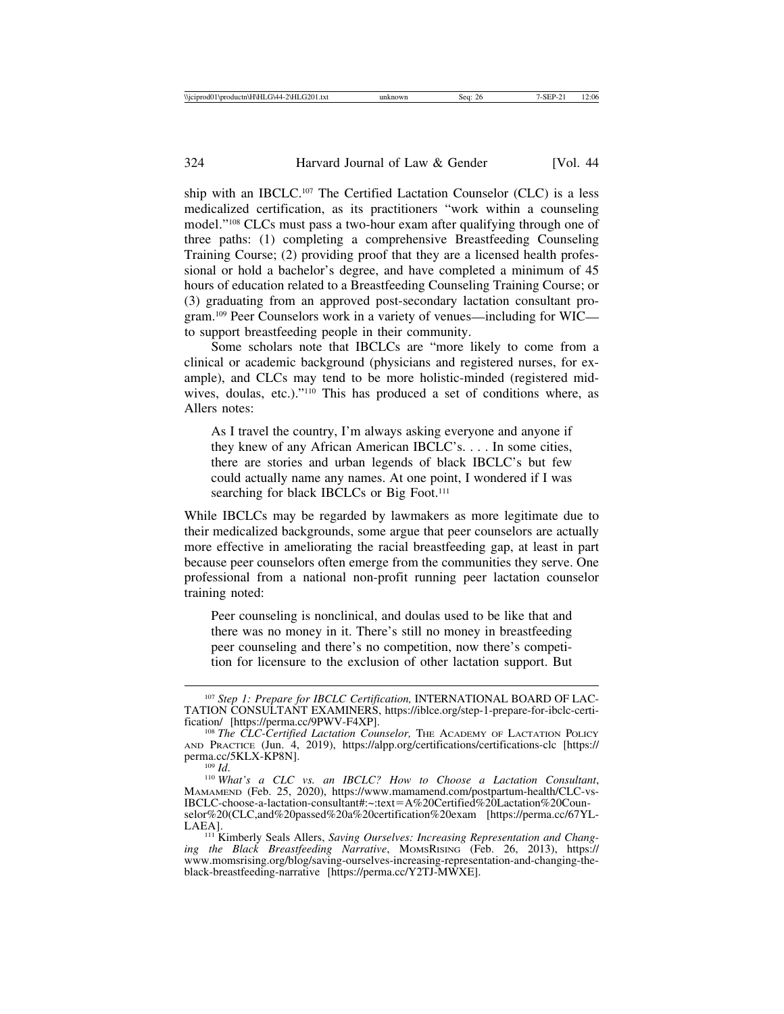ship with an IBCLC.107 The Certified Lactation Counselor (CLC) is a less medicalized certification, as its practitioners "work within a counseling model."108 CLCs must pass a two-hour exam after qualifying through one of three paths: (1) completing a comprehensive Breastfeeding Counseling Training Course; (2) providing proof that they are a licensed health professional or hold a bachelor's degree, and have completed a minimum of 45 hours of education related to a Breastfeeding Counseling Training Course; or (3) graduating from an approved post-secondary lactation consultant program.109 Peer Counselors work in a variety of venues—including for WIC to support breastfeeding people in their community.

Some scholars note that IBCLCs are "more likely to come from a clinical or academic background (physicians and registered nurses, for example), and CLCs may tend to be more holistic-minded (registered midwives, doulas, etc.)."110 This has produced a set of conditions where, as Allers notes:

As I travel the country, I'm always asking everyone and anyone if they knew of any African American IBCLC's. . . . In some cities, there are stories and urban legends of black IBCLC's but few could actually name any names. At one point, I wondered if I was searching for black IBCLCs or Big Foot.<sup>111</sup>

While IBCLCs may be regarded by lawmakers as more legitimate due to their medicalized backgrounds, some argue that peer counselors are actually more effective in ameliorating the racial breastfeeding gap, at least in part because peer counselors often emerge from the communities they serve. One professional from a national non-profit running peer lactation counselor training noted:

Peer counseling is nonclinical, and doulas used to be like that and there was no money in it. There's still no money in breastfeeding peer counseling and there's no competition, now there's competition for licensure to the exclusion of other lactation support. But

<sup>107</sup> *Step 1: Prepare for IBCLC Certification,* INTERNATIONAL BOARD OF LAC-TATION CONSULTANT EXAMINERS, https://iblce.org/step-1-prepare-for-ibclc-certi-

<sup>&</sup>lt;sup>108</sup> The CLC-Certified Lactation Counselor, THE ACADEMY OF LACTATION POLICY AND PRACTICE (Jun. 4, 2019), https://alpp.org/certifications/certifications-clc [https:// perma.cc/5KLX-KP8N]. <sup>109</sup> *Id*. <sup>110</sup> *What's a CLC vs. an IBCLC? How to Choose a Lactation Consultant*,

MAMAMEND (Feb. 25, 2020), https://www.mamamend.com/postpartum-health/CLC-vs-IBCLC-choose-a-lactation-consultant#:~:text=A%20Certified%20Lactation%20Counselor%20(CLC,and%20passed%20a%20certification%20exam [https://perma.cc/67YL-

<sup>&</sup>lt;sup>111</sup> Kimberly Seals Allers, *Saving Ourselves: Increasing Representation and Changing the Black Breastfeeding Narrative*, MOMSRISING (Feb. 26, 2013), https:// www.momsrising.org/blog/saving-ourselves-increasing-representation-and-changing-theblack-breastfeeding-narrative [https://perma.cc/Y2TJ-MWXE].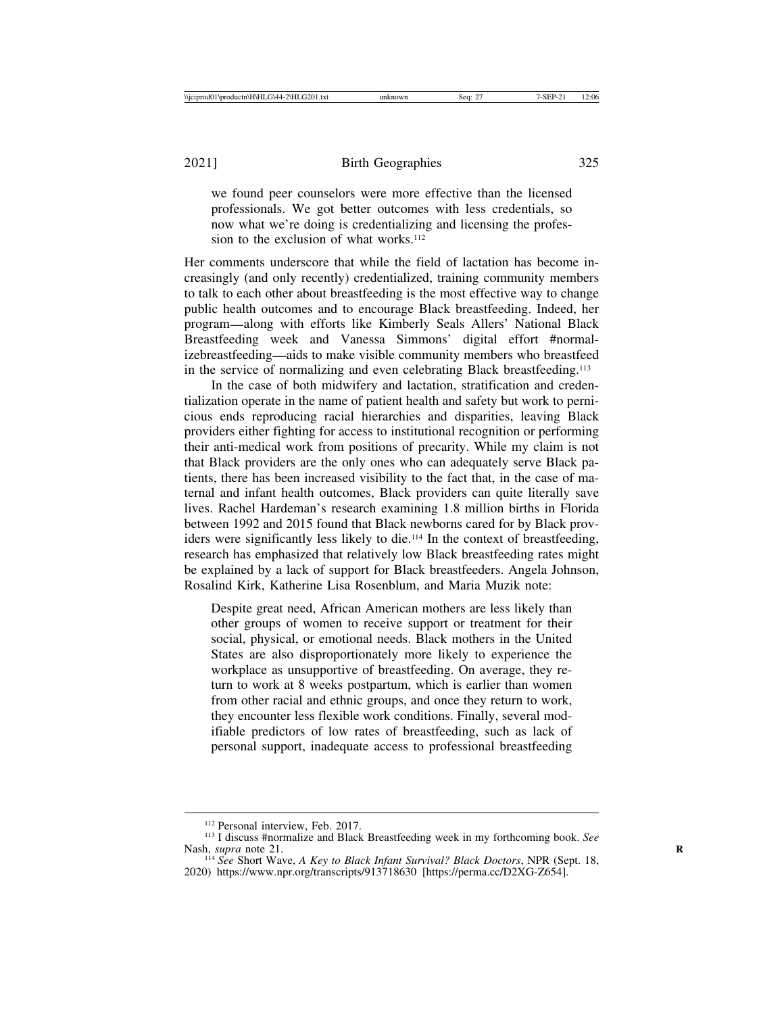we found peer counselors were more effective than the licensed professionals. We got better outcomes with less credentials, so now what we're doing is credentializing and licensing the profession to the exclusion of what works.<sup>112</sup>

Her comments underscore that while the field of lactation has become increasingly (and only recently) credentialized, training community members to talk to each other about breastfeeding is the most effective way to change public health outcomes and to encourage Black breastfeeding. Indeed, her program—along with efforts like Kimberly Seals Allers' National Black Breastfeeding week and Vanessa Simmons' digital effort #normalizebreastfeeding—aids to make visible community members who breastfeed in the service of normalizing and even celebrating Black breastfeeding.<sup>113</sup>

In the case of both midwifery and lactation, stratification and credentialization operate in the name of patient health and safety but work to pernicious ends reproducing racial hierarchies and disparities, leaving Black providers either fighting for access to institutional recognition or performing their anti-medical work from positions of precarity. While my claim is not that Black providers are the only ones who can adequately serve Black patients, there has been increased visibility to the fact that, in the case of maternal and infant health outcomes, Black providers can quite literally save lives. Rachel Hardeman's research examining 1.8 million births in Florida between 1992 and 2015 found that Black newborns cared for by Black providers were significantly less likely to die.114 In the context of breastfeeding, research has emphasized that relatively low Black breastfeeding rates might be explained by a lack of support for Black breastfeeders. Angela Johnson, Rosalind Kirk, Katherine Lisa Rosenblum, and Maria Muzik note:

Despite great need, African American mothers are less likely than other groups of women to receive support or treatment for their social, physical, or emotional needs. Black mothers in the United States are also disproportionately more likely to experience the workplace as unsupportive of breastfeeding. On average, they return to work at 8 weeks postpartum, which is earlier than women from other racial and ethnic groups, and once they return to work, they encounter less flexible work conditions. Finally, several modifiable predictors of low rates of breastfeeding, such as lack of personal support, inadequate access to professional breastfeeding

<sup>&</sup>lt;sup>112</sup> Personal interview, Feb. 2017.<br><sup>113</sup> I discuss #normalize and Black Breastfeeding week in my forthcoming book. *See* Nash, *supra* note 21.<br><sup>114</sup> *See* Short Wave, *A Key to Black Infant Survival? Black Doctors*, NPR (Sept. 18,

<sup>2020)</sup> https://www.npr.org/transcripts/913718630 [https://perma.cc/D2XG-Z654].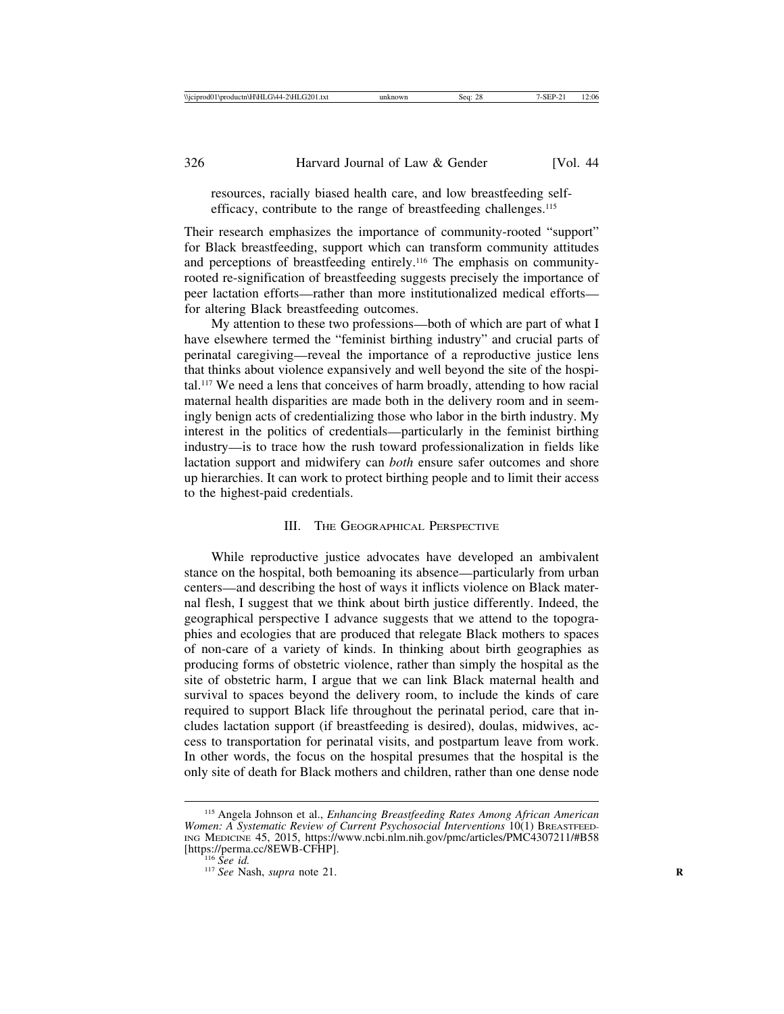resources, racially biased health care, and low breastfeeding selfefficacy, contribute to the range of breastfeeding challenges.<sup>115</sup>

Their research emphasizes the importance of community-rooted "support" for Black breastfeeding, support which can transform community attitudes and perceptions of breastfeeding entirely.116 The emphasis on communityrooted re-signification of breastfeeding suggests precisely the importance of peer lactation efforts—rather than more institutionalized medical efforts for altering Black breastfeeding outcomes.

My attention to these two professions—both of which are part of what I have elsewhere termed the "feminist birthing industry" and crucial parts of perinatal caregiving—reveal the importance of a reproductive justice lens that thinks about violence expansively and well beyond the site of the hospital.117 We need a lens that conceives of harm broadly, attending to how racial maternal health disparities are made both in the delivery room and in seemingly benign acts of credentializing those who labor in the birth industry. My interest in the politics of credentials—particularly in the feminist birthing industry—is to trace how the rush toward professionalization in fields like lactation support and midwifery can *both* ensure safer outcomes and shore up hierarchies. It can work to protect birthing people and to limit their access to the highest-paid credentials.

## III. THE GEOGRAPHICAL PERSPECTIVE

While reproductive justice advocates have developed an ambivalent stance on the hospital, both bemoaning its absence—particularly from urban centers—and describing the host of ways it inflicts violence on Black maternal flesh, I suggest that we think about birth justice differently. Indeed, the geographical perspective I advance suggests that we attend to the topographies and ecologies that are produced that relegate Black mothers to spaces of non-care of a variety of kinds. In thinking about birth geographies as producing forms of obstetric violence, rather than simply the hospital as the site of obstetric harm, I argue that we can link Black maternal health and survival to spaces beyond the delivery room, to include the kinds of care required to support Black life throughout the perinatal period, care that includes lactation support (if breastfeeding is desired), doulas, midwives, access to transportation for perinatal visits, and postpartum leave from work. In other words, the focus on the hospital presumes that the hospital is the only site of death for Black mothers and children, rather than one dense node

<sup>115</sup> Angela Johnson et al., *Enhancing Breastfeeding Rates Among African American Women: A Systematic Review of Current Psychosocial Interventions* 10(1) BREASTFEED-ING MEDICINE 45, 2015, https://www.ncbi.nlm.nih.gov/pmc/articles/PMC4307211/#B58 [https://perma.cc/8EWB-CFHP].<br><sup>116</sup> *See id.* <sup>117</sup> *See* Nash, *supra* note 21.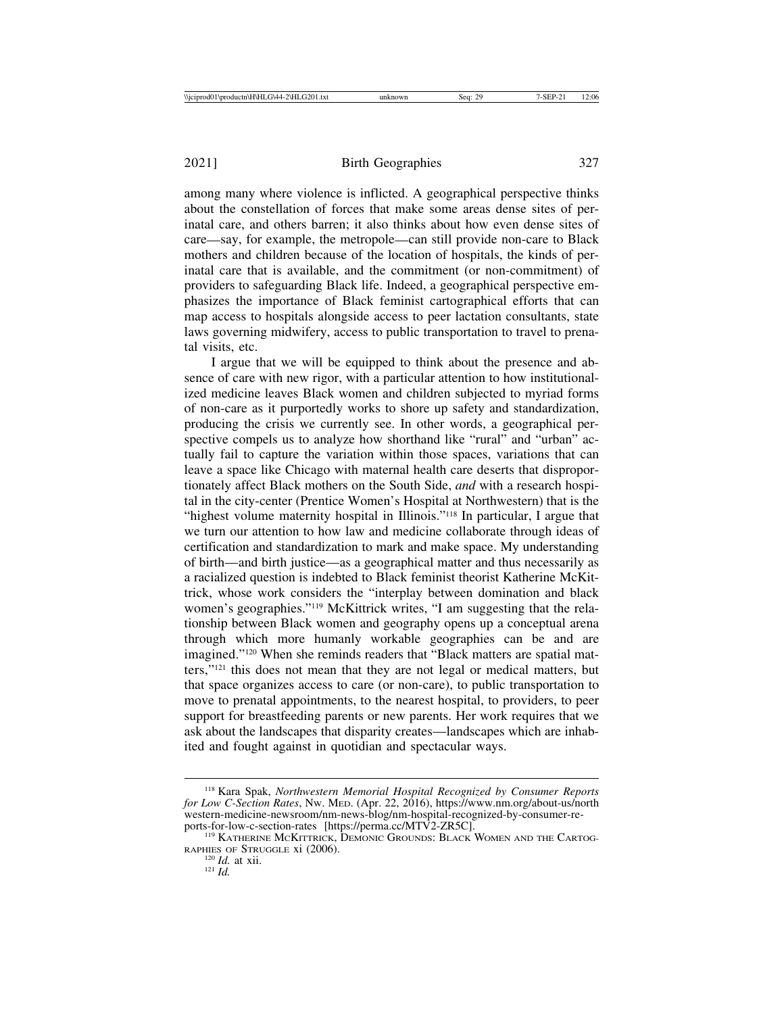among many where violence is inflicted. A geographical perspective thinks about the constellation of forces that make some areas dense sites of perinatal care, and others barren; it also thinks about how even dense sites of care—say, for example, the metropole—can still provide non-care to Black mothers and children because of the location of hospitals, the kinds of perinatal care that is available, and the commitment (or non-commitment) of providers to safeguarding Black life. Indeed, a geographical perspective emphasizes the importance of Black feminist cartographical efforts that can map access to hospitals alongside access to peer lactation consultants, state laws governing midwifery, access to public transportation to travel to prenatal visits, etc.

I argue that we will be equipped to think about the presence and absence of care with new rigor, with a particular attention to how institutionalized medicine leaves Black women and children subjected to myriad forms of non-care as it purportedly works to shore up safety and standardization, producing the crisis we currently see. In other words, a geographical perspective compels us to analyze how shorthand like "rural" and "urban" actually fail to capture the variation within those spaces, variations that can leave a space like Chicago with maternal health care deserts that disproportionately affect Black mothers on the South Side, *and* with a research hospital in the city-center (Prentice Women's Hospital at Northwestern) that is the "highest volume maternity hospital in Illinois."118 In particular, I argue that we turn our attention to how law and medicine collaborate through ideas of certification and standardization to mark and make space. My understanding of birth—and birth justice—as a geographical matter and thus necessarily as a racialized question is indebted to Black feminist theorist Katherine McKittrick, whose work considers the "interplay between domination and black women's geographies."119 McKittrick writes, "I am suggesting that the relationship between Black women and geography opens up a conceptual arena through which more humanly workable geographies can be and are imagined."120 When she reminds readers that "Black matters are spatial matters,"121 this does not mean that they are not legal or medical matters, but that space organizes access to care (or non-care), to public transportation to move to prenatal appointments, to the nearest hospital, to providers, to peer support for breastfeeding parents or new parents. Her work requires that we ask about the landscapes that disparity creates—landscapes which are inhabited and fought against in quotidian and spectacular ways.

<sup>118</sup> Kara Spak, *Northwestern Memorial Hospital Recognized by Consumer Reports for Low C-Section Rates*, NW. MED. (Apr. 22, 2016), https://www.nm.org/about-us/north western-medicine-newsroom/nm-news-blog/nm-hospital-recognized-by-consumer-reports-for-low-c-section-rates [https://perma.cc/MTV2-ZR5C]. <sup>119</sup> KATHERINE MCKITTRICK, DEMONIC GROUNDS: BLACK WOMEN AND THE CARTOG-

RAPHIES OF STRUGGLE xi (2006).<br><sup>120</sup> *Id.* at xii.<br><sup>121</sup> *Id.*